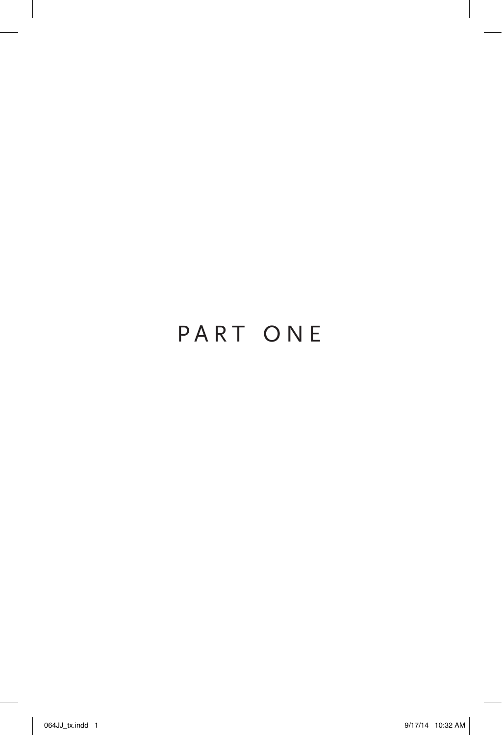#### PART ONE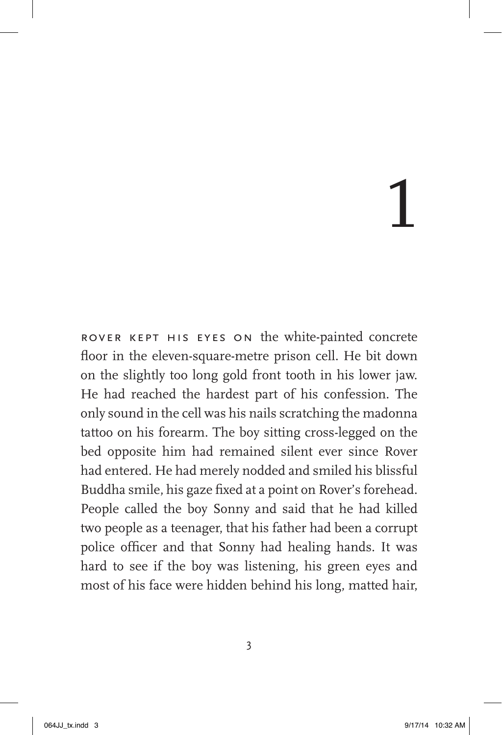# 1

rover kept his eyes on the white-painted concrete floor in the eleven-square-metre prison cell. He bit down on the slightly too long gold front tooth in his lower jaw. He had reached the hardest part of his confession. The only sound in the cell was his nails scratching the madonna tattoo on his forearm. The boy sitting cross-legged on the bed opposite him had remained silent ever since Rover had entered. He had merely nodded and smiled his blissful Buddha smile, his gaze fixed at a point on Rover's forehead. People called the boy Sonny and said that he had killed two people as a teenager, that his father had been a corrupt police officer and that Sonny had healing hands. It was hard to see if the boy was listening, his green eyes and most of his face were hidden behind his long, matted hair,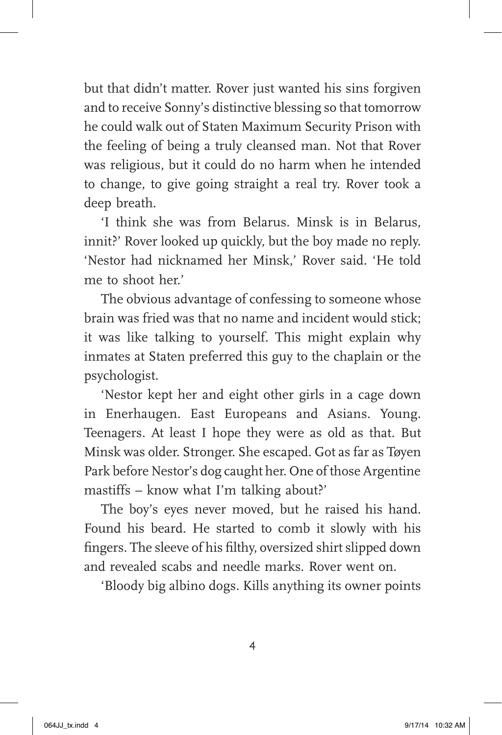but that didn't matter. Rover just wanted his sins forgiven and to receive Sonny's distinctive blessing so that tomorrow he could walk out of Staten Maximum Security Prison with the feeling of being a truly cleansed man. Not that Rover was religious, but it could do no harm when he intended to change, to give going straight a real try. Rover took a deep breath.

'I think she was from Belarus. Minsk is in Belarus, innit?' Rover looked up quickly, but the boy made no reply. 'Nestor had nicknamed her Minsk,' Rover said. 'He told me to shoot her.'

The obvious advantage of confessing to someone whose brain was fried was that no name and incident would stick; it was like talking to yourself. This might explain why inmates at Staten preferred this guy to the chaplain or the psychologist.

'Nestor kept her and eight other girls in a cage down in Enerhaugen. East Europeans and Asians. Young. Teenagers. At least I hope they were as old as that. But Minsk was older. Stronger. She escaped. Got as far as Tøyen Park before Nestor's dog caught her. One of those Argentine mastiffs – know what I'm talking about?'

The boy's eyes never moved, but he raised his hand. Found his beard. He started to comb it slowly with his fingers. The sleeve of his filthy, oversized shirt slipped down and revealed scabs and needle marks. Rover went on.

'Bloody big albino dogs. Kills anything its owner points

4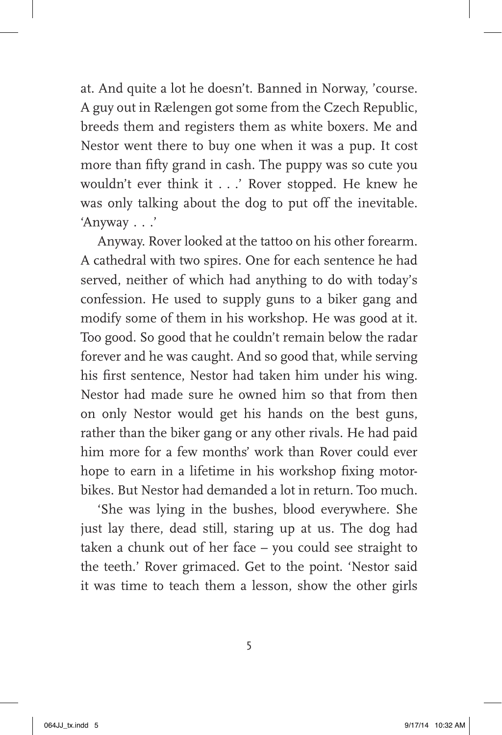at. And quite a lot he doesn't. Banned in Norway, 'course. A guy out in Rælengen got some from the Czech Republic, breeds them and registers them as white boxers. Me and Nestor went there to buy one when it was a pup. It cost more than fifty grand in cash. The puppy was so cute you wouldn't ever think it . . .' Rover stopped. He knew he was only talking about the dog to put off the inevitable. 'Anyway . . .'

Anyway. Rover looked at the tattoo on his other forearm. A cathedral with two spires. One for each sentence he had served, neither of which had anything to do with today's confession. He used to supply guns to a biker gang and modify some of them in his workshop. He was good at it. Too good. So good that he couldn't remain below the radar forever and he was caught. And so good that, while serving his first sentence, Nestor had taken him under his wing. Nestor had made sure he owned him so that from then on only Nestor would get his hands on the best guns, rather than the biker gang or any other rivals. He had paid him more for a few months' work than Rover could ever hope to earn in a lifetime in his workshop fixing motorbikes. But Nestor had demanded a lot in return. Too much.

'She was lying in the bushes, blood everywhere. She just lay there, dead still, staring up at us. The dog had taken a chunk out of her face – you could see straight to the teeth.' Rover grimaced. Get to the point. 'Nestor said it was time to teach them a lesson, show the other girls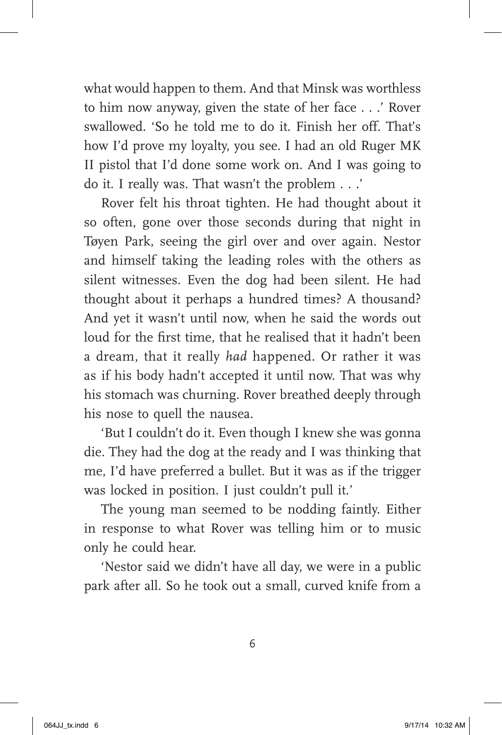what would happen to them. And that Minsk was worthless to him now anyway, given the state of her face . . .' Rover swallowed. 'So he told me to do it. Finish her off. That's how I'd prove my loyalty, you see. I had an old Ruger MK II pistol that I'd done some work on. And I was going to do it. I really was. That wasn't the problem . . .'

Rover felt his throat tighten. He had thought about it so often, gone over those seconds during that night in Tøyen Park, seeing the girl over and over again. Nestor and himself taking the leading roles with the others as silent witnesses. Even the dog had been silent. He had thought about it perhaps a hundred times? A thousand? And yet it wasn't until now, when he said the words out loud for the first time, that he realised that it hadn't been a dream, that it really *had* happened. Or rather it was as if his body hadn't accepted it until now. That was why his stomach was churning. Rover breathed deeply through his nose to quell the nausea.

'But I couldn't do it. Even though I knew she was gonna die. They had the dog at the ready and I was thinking that me, I'd have preferred a bullet. But it was as if the trigger was locked in position. I just couldn't pull it.'

The young man seemed to be nodding faintly. Either in response to what Rover was telling him or to music only he could hear.

'Nestor said we didn't have all day, we were in a public park after all. So he took out a small, curved knife from a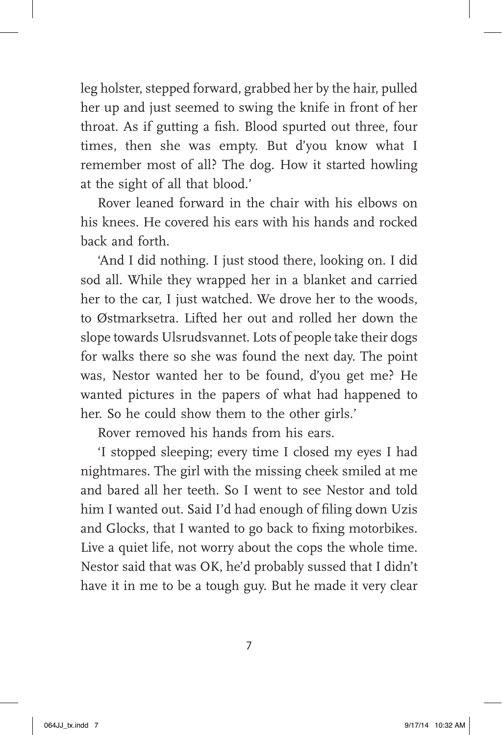leg holster, stepped forward, grabbed her by the hair, pulled her up and just seemed to swing the knife in front of her throat. As if gutting a fish. Blood spurted out three, four times, then she was empty. But d'you know what I remember most of all? The dog. How it started howling at the sight of all that blood.'

Rover leaned forward in the chair with his elbows on his knees. He covered his ears with his hands and rocked back and forth.

'And I did nothing. I just stood there, looking on. I did sod all. While they wrapped her in a blanket and carried her to the car, I just watched. We drove her to the woods, to Østmarksetra. Lifted her out and rolled her down the slope towards Ulsrudsvannet. Lots of people take their dogs for walks there so she was found the next day. The point was, Nestor wanted her to be found, d'you get me? He wanted pictures in the papers of what had happened to her. So he could show them to the other girls.'

Rover removed his hands from his ears.

'I stopped sleeping; every time I closed my eyes I had nightmares. The girl with the missing cheek smiled at me and bared all her teeth. So I went to see Nestor and told him I wanted out. Said I'd had enough of filing down Uzis and Glocks, that I wanted to go back to fixing motorbikes. Live a quiet life, not worry about the cops the whole time. Nestor said that was OK, he'd probably sussed that I didn't have it in me to be a tough guy. But he made it very clear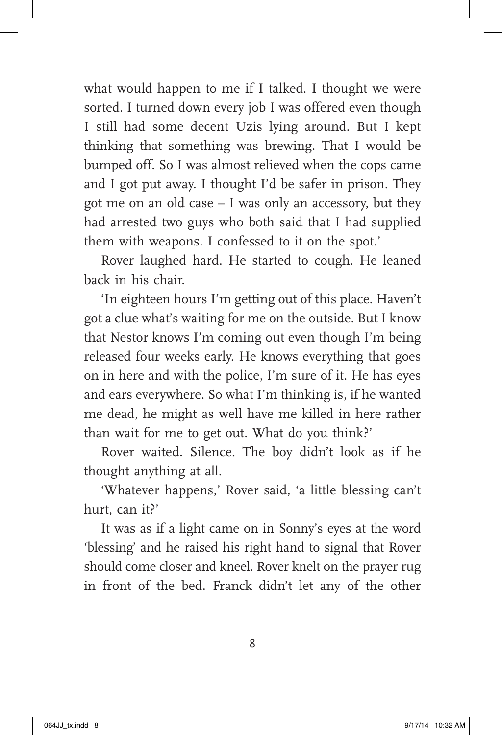what would happen to me if I talked. I thought we were sorted. I turned down every job I was offered even though I still had some decent Uzis lying around. But I kept thinking that something was brewing. That I would be bumped off. So I was almost relieved when the cops came and I got put away. I thought I'd be safer in prison. They got me on an old case – I was only an accessory, but they had arrested two guys who both said that I had supplied them with weapons. I confessed to it on the spot.'

Rover laughed hard. He started to cough. He leaned back in his chair.

'In eighteen hours I'm getting out of this place. Haven't got a clue what's waiting for me on the outside. But I know that Nestor knows I'm coming out even though I'm being released four weeks early. He knows everything that goes on in here and with the police, I'm sure of it. He has eyes and ears everywhere. So what I'm thinking is, if he wanted me dead, he might as well have me killed in here rather than wait for me to get out. What do you think?'

Rover waited. Silence. The boy didn't look as if he thought anything at all.

'Whatever happens,' Rover said, 'a little blessing can't hurt, can it?'

It was as if a light came on in Sonny's eyes at the word 'blessing' and he raised his right hand to signal that Rover should come closer and kneel. Rover knelt on the prayer rug in front of the bed. Franck didn't let any of the other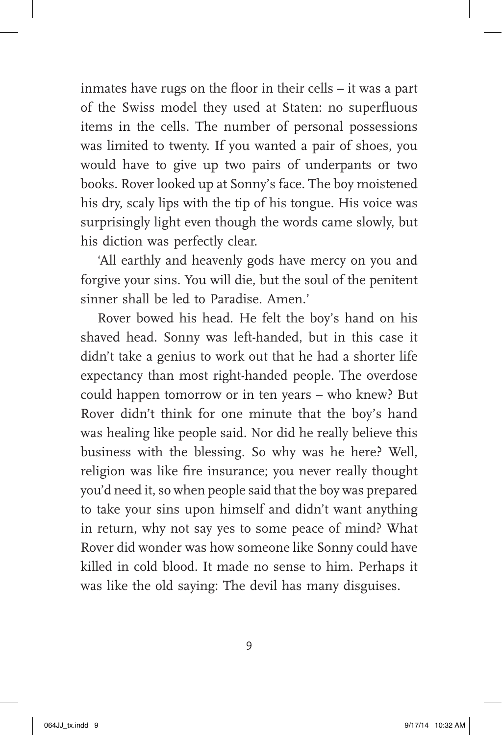inmates have rugs on the floor in their cells – it was a part of the Swiss model they used at Staten: no superfluous items in the cells. The number of personal possessions was limited to twenty. If you wanted a pair of shoes, you would have to give up two pairs of underpants or two books. Rover looked up at Sonny's face. The boy moistened his dry, scaly lips with the tip of his tongue. His voice was surprisingly light even though the words came slowly, but his diction was perfectly clear.

'All earthly and heavenly gods have mercy on you and forgive your sins. You will die, but the soul of the penitent sinner shall be led to Paradise. Amen.'

Rover bowed his head. He felt the boy's hand on his shaved head. Sonny was left-handed, but in this case it didn't take a genius to work out that he had a shorter life expectancy than most right-handed people. The overdose could happen tomorrow or in ten years – who knew? But Rover didn't think for one minute that the boy's hand was healing like people said. Nor did he really believe this business with the blessing. So why was he here? Well, religion was like fire insurance; you never really thought you'd need it, so when people said that the boy was prepared to take your sins upon himself and didn't want anything in return, why not say yes to some peace of mind? What Rover did wonder was how someone like Sonny could have killed in cold blood. It made no sense to him. Perhaps it was like the old saying: The devil has many disguises.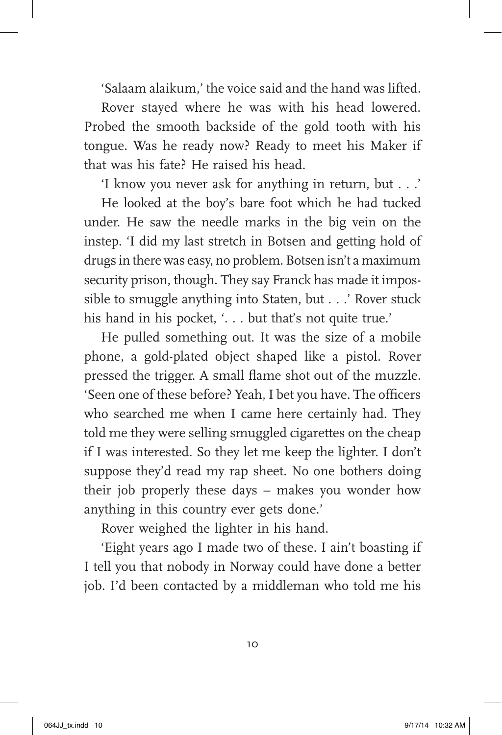'Salaam alaikum,' the voice said and the hand was lifted.

Rover stayed where he was with his head lowered. Probed the smooth backside of the gold tooth with his tongue. Was he ready now? Ready to meet his Maker if that was his fate? He raised his head.

'I know you never ask for anything in return, but . . .'

He looked at the boy's bare foot which he had tucked under. He saw the needle marks in the big vein on the instep. 'I did my last stretch in Botsen and getting hold of drugs in there was easy, no problem. Botsen isn't a maximum security prison, though. They say Franck has made it impossible to smuggle anything into Staten, but . . .' Rover stuck his hand in his pocket, '. . . but that's not quite true.'

He pulled something out. It was the size of a mobile phone, a gold-plated object shaped like a pistol. Rover pressed the trigger. A small flame shot out of the muzzle. 'Seen one of these before? Yeah, I bet you have. The officers who searched me when I came here certainly had. They told me they were selling smuggled cigarettes on the cheap if I was interested. So they let me keep the lighter. I don't suppose they'd read my rap sheet. No one bothers doing their job properly these days – makes you wonder how anything in this country ever gets done.'

Rover weighed the lighter in his hand.

'Eight years ago I made two of these. I ain't boasting if I tell you that nobody in Norway could have done a better job. I'd been contacted by a middleman who told me his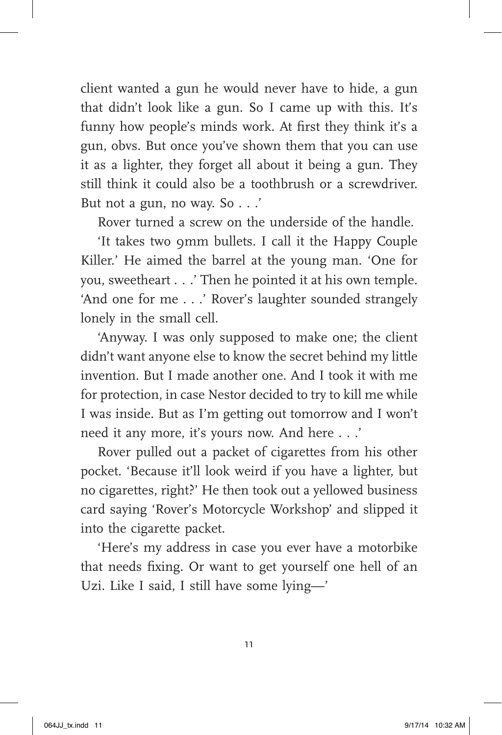client wanted a gun he would never have to hide, a gun that didn't look like a gun. So I came up with this. It's funny how people's minds work. At first they think it's a gun, obvs. But once you've shown them that you can use it as a lighter, they forget all about it being a gun. They still think it could also be a toothbrush or a screwdriver. But not a gun, no way. So . . .'

Rover turned a screw on the underside of the handle.

'It takes two 9mm bullets. I call it the Happy Couple Killer.' He aimed the barrel at the young man. 'One for you, sweetheart . . .' Then he pointed it at his own temple. 'And one for me . . .' Rover's laughter sounded strangely lonely in the small cell.

'Anyway. I was only supposed to make one; the client didn't want anyone else to know the secret behind my little invention. But I made another one. And I took it with me for protection, in case Nestor decided to try to kill me while I was inside. But as I'm getting out tomorrow and I won't need it any more, it's yours now. And here . . .'

Rover pulled out a packet of cigarettes from his other pocket. 'Because it'll look weird if you have a lighter, but no cigarettes, right?' He then took out a yellowed business card saying 'Rover's Motorcycle Workshop' and slipped it into the cigarette packet.

'Here's my address in case you ever have a motorbike that needs fixing. Or want to get yourself one hell of an Uzi. Like I said, I still have some lying—'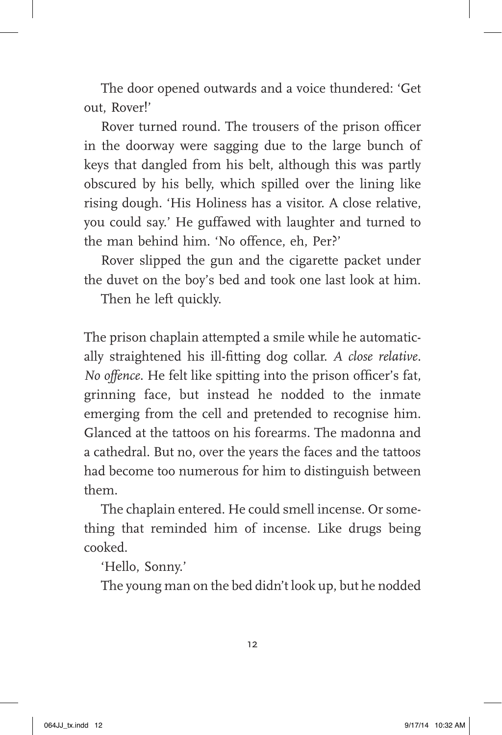The door opened outwards and a voice thundered: 'Get out, Rover!'

Rover turned round. The trousers of the prison officer in the doorway were sagging due to the large bunch of keys that dangled from his belt, although this was partly obscured by his belly, which spilled over the lining like rising dough. 'His Holiness has a visitor. A close relative, you could say.' He guffawed with laughter and turned to the man behind him. 'No offence, eh, Per?'

Rover slipped the gun and the cigarette packet under the duvet on the boy's bed and took one last look at him.

Then he left quickly.

The prison chaplain attempted a smile while he automatically straightened his ill-fitting dog collar. *A close relative. No offence*. He felt like spitting into the prison officer's fat, grinning face, but instead he nodded to the inmate emerging from the cell and pretended to recognise him. Glanced at the tattoos on his forearms. The madonna and a cathedral. But no, over the years the faces and the tattoos had become too numerous for him to distinguish between them.

The chaplain entered. He could smell incense. Or something that reminded him of incense. Like drugs being cooked.

'Hello, Sonny.'

The young man on the bed didn't look up, but he nodded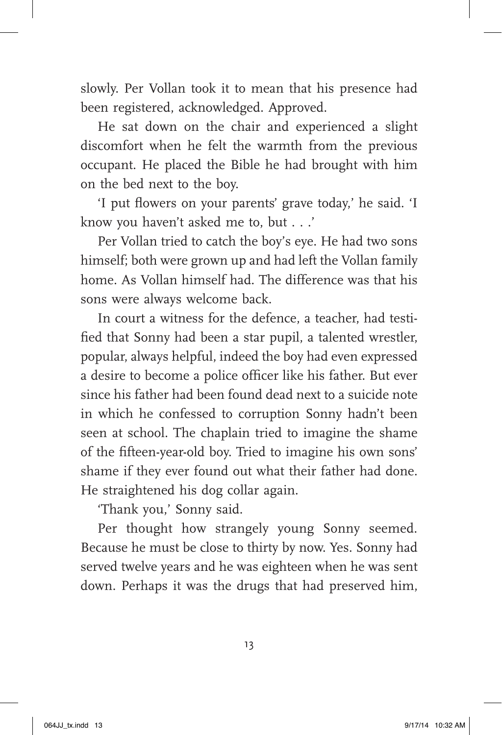slowly. Per Vollan took it to mean that his presence had been registered, acknowledged. Approved.

He sat down on the chair and experienced a slight discomfort when he felt the warmth from the previous occupant. He placed the Bible he had brought with him on the bed next to the boy.

'I put flowers on your parents' grave today,' he said. 'I know you haven't asked me to, but . . .'

Per Vollan tried to catch the boy's eye. He had two sons himself; both were grown up and had left the Vollan family home. As Vollan himself had. The difference was that his sons were always welcome back.

In court a witness for the defence, a teacher, had testified that Sonny had been a star pupil, a talented wrestler, popular, always helpful, indeed the boy had even expressed a desire to become a police officer like his father. But ever since his father had been found dead next to a suicide note in which he confessed to corruption Sonny hadn't been seen at school. The chaplain tried to imagine the shame of the fifteen-year-old boy. Tried to imagine his own sons' shame if they ever found out what their father had done. He straightened his dog collar again.

'Thank you,' Sonny said.

Per thought how strangely young Sonny seemed. Because he must be close to thirty by now. Yes. Sonny had served twelve years and he was eighteen when he was sent down. Perhaps it was the drugs that had preserved him,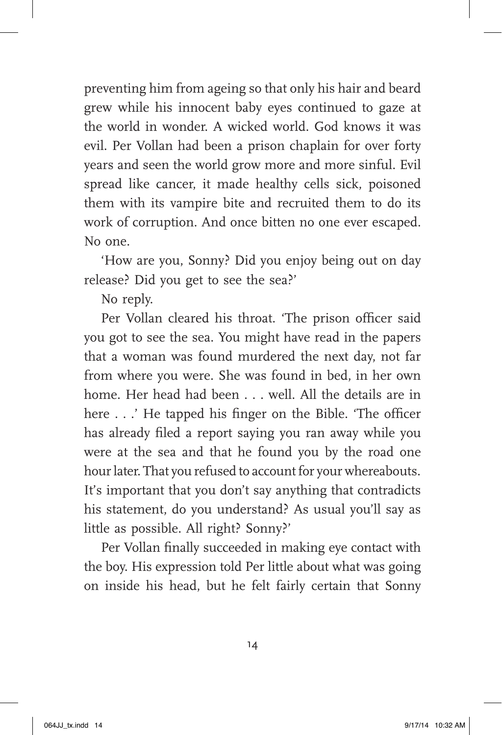preventing him from ageing so that only his hair and beard grew while his innocent baby eyes continued to gaze at the world in wonder. A wicked world. God knows it was evil. Per Vollan had been a prison chaplain for over forty years and seen the world grow more and more sinful. Evil spread like cancer, it made healthy cells sick, poisoned them with its vampire bite and recruited them to do its work of corruption. And once bitten no one ever escaped. No one.

'How are you, Sonny? Did you enjoy being out on day release? Did you get to see the sea?'

No reply.

Per Vollan cleared his throat. 'The prison officer said you got to see the sea. You might have read in the papers that a woman was found murdered the next day, not far from where you were. She was found in bed, in her own home. Her head had been . . . well. All the details are in here . . .' He tapped his finger on the Bible. The officer has already filed a report saying you ran away while you were at the sea and that he found you by the road one hour later. That you refused to account for your whereabouts. It's important that you don't say anything that contradicts his statement, do you understand? As usual you'll say as little as possible. All right? Sonny?'

Per Vollan finally succeeded in making eye contact with the boy. His expression told Per little about what was going on inside his head, but he felt fairly certain that Sonny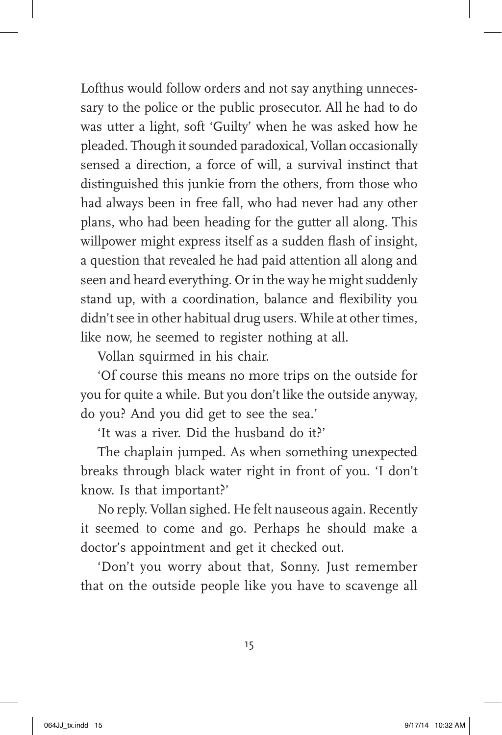Lofthus would follow orders and not say anything unnecessary to the police or the public prosecutor. All he had to do was utter a light, soft 'Guilty' when he was asked how he pleaded. Though it sounded paradoxical, Vollan occasionally sensed a direction, a force of will, a survival instinct that distinguished this junkie from the others, from those who had always been in free fall, who had never had any other plans, who had been heading for the gutter all along. This willpower might express itself as a sudden flash of insight, a question that revealed he had paid attention all along and seen and heard everything. Or in the way he might suddenly stand up, with a coordination, balance and flexibility you didn't see in other habitual drug users. While at other times, like now, he seemed to register nothing at all.

Vollan squirmed in his chair.

'Of course this means no more trips on the outside for you for quite a while. But you don't like the outside anyway, do you? And you did get to see the sea.'

'It was a river. Did the husband do it?'

The chaplain jumped. As when something unexpected breaks through black water right in front of you. 'I don't know. Is that important?'

No reply. Vollan sighed. He felt nauseous again. Recently it seemed to come and go. Perhaps he should make a doctor's appointment and get it checked out.

'Don't you worry about that, Sonny. Just remember that on the outside people like you have to scavenge all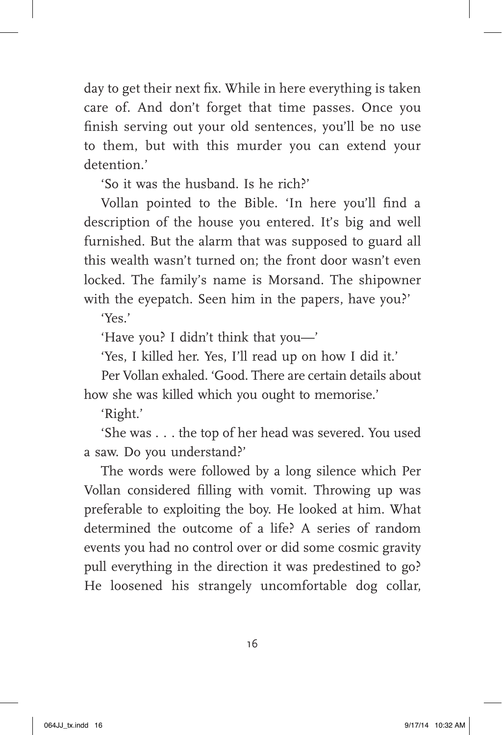day to get their next fix. While in here everything is taken care of. And don't forget that time passes. Once you finish serving out your old sentences, you'll be no use to them, but with this murder you can extend your detention.'

'So it was the husband. Is he rich?'

Vollan pointed to the Bible. 'In here you'll find a description of the house you entered. It's big and well furnished. But the alarm that was supposed to guard all this wealth wasn't turned on; the front door wasn't even locked. The family's name is Morsand. The shipowner with the eyepatch. Seen him in the papers, have you?'

 $'Y_{\mathsf{P}}S$ 

'Have you? I didn't think that you—'

'Yes, I killed her. Yes, I'll read up on how I did it.'

Per Vollan exhaled. 'Good. There are certain details about how she was killed which you ought to memorise.'

'Right.'

'She was . . . the top of her head was severed. You used a saw. Do you understand?'

The words were followed by a long silence which Per Vollan considered filling with vomit. Throwing up was preferable to exploiting the boy. He looked at him. What determined the outcome of a life? A series of random events you had no control over or did some cosmic gravity pull everything in the direction it was predestined to go? He loosened his strangely uncomfortable dog collar,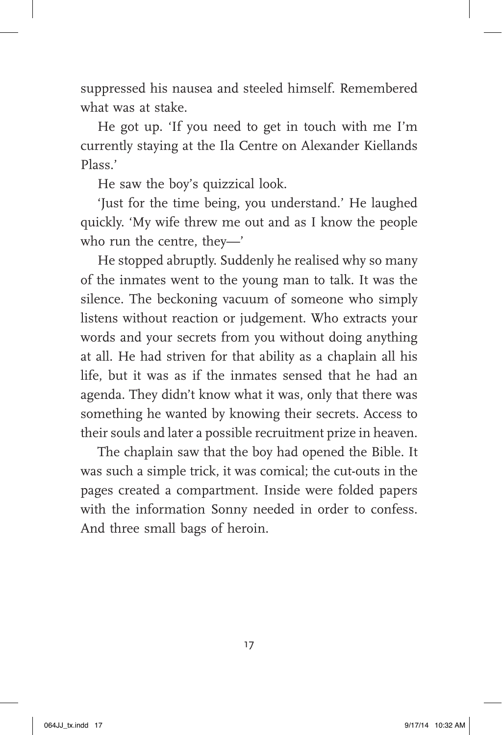suppressed his nausea and steeled himself. Remembered what was at stake.

He got up. 'If you need to get in touch with me I'm currently staying at the Ila Centre on Alexander Kiellands Plass.'

He saw the boy's quizzical look.

'Just for the time being, you understand.' He laughed quickly. 'My wife threw me out and as I know the people who run the centre, they—'

He stopped abruptly. Suddenly he realised why so many of the inmates went to the young man to talk. It was the silence. The beckoning vacuum of someone who simply listens without reaction or judgement. Who extracts your words and your secrets from you without doing anything at all. He had striven for that ability as a chaplain all his life, but it was as if the inmates sensed that he had an agenda. They didn't know what it was, only that there was something he wanted by knowing their secrets. Access to their souls and later a possible recruitment prize in heaven.

The chaplain saw that the boy had opened the Bible. It was such a simple trick, it was comical; the cut-outs in the pages created a compartment. Inside were folded papers with the information Sonny needed in order to confess. And three small bags of heroin.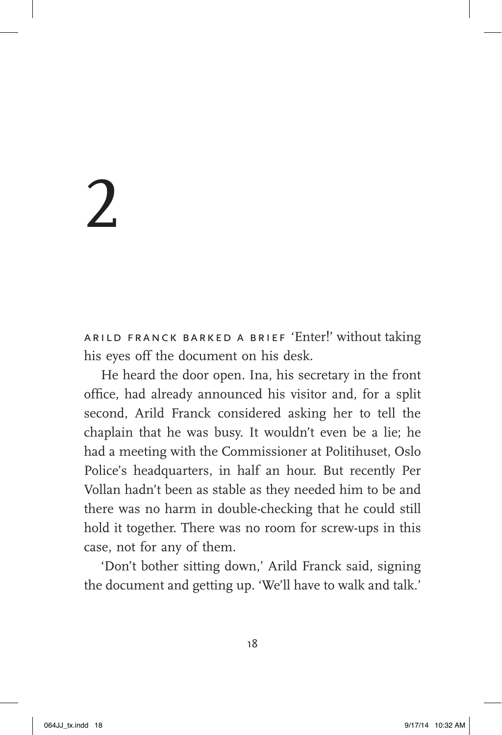#### 2

arild franck barked a brief 'Enter!' without taking his eyes off the document on his desk.

He heard the door open. Ina, his secretary in the front office, had already announced his visitor and, for a split second, Arild Franck considered asking her to tell the chaplain that he was busy. It wouldn't even be a lie; he had a meeting with the Commissioner at Politihuset, Oslo Police's headquarters, in half an hour. But recently Per Vollan hadn't been as stable as they needed him to be and there was no harm in double-checking that he could still hold it together. There was no room for screw-ups in this case, not for any of them.

'Don't bother sitting down,' Arild Franck said, signing the document and getting up. 'We'll have to walk and talk.'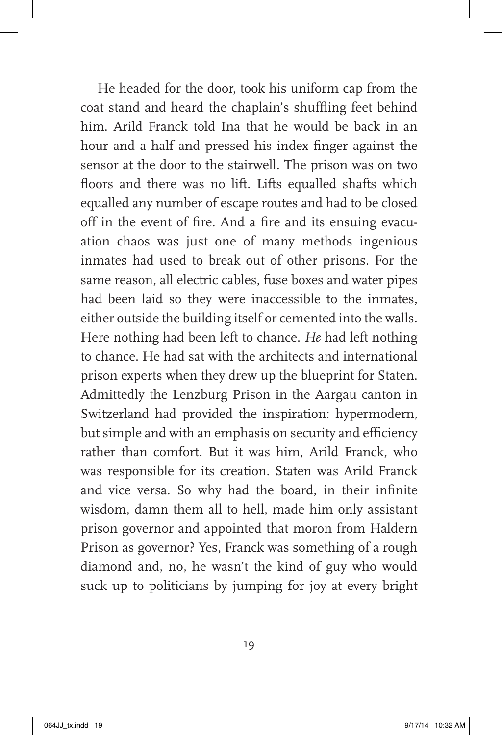He headed for the door, took his uniform cap from the coat stand and heard the chaplain's shuffling feet behind him. Arild Franck told Ina that he would be back in an hour and a half and pressed his index finger against the sensor at the door to the stairwell. The prison was on two floors and there was no lift. Lifts equalled shafts which equalled any number of escape routes and had to be closed off in the event of fire. And a fire and its ensuing evacuation chaos was just one of many methods ingenious inmates had used to break out of other prisons. For the same reason, all electric cables, fuse boxes and water pipes had been laid so they were inaccessible to the inmates, either outside the building itself or cemented into the walls. Here nothing had been left to chance. *He* had left nothing to chance. He had sat with the architects and international prison experts when they drew up the blueprint for Staten. Admittedly the Lenzburg Prison in the Aargau canton in Switzerland had provided the inspiration: hypermodern, but simple and with an emphasis on security and efficiency rather than comfort. But it was him, Arild Franck, who was responsible for its creation. Staten was Arild Franck and vice versa. So why had the board, in their infinite wisdom, damn them all to hell, made him only assistant prison governor and appointed that moron from Haldern Prison as governor? Yes, Franck was something of a rough diamond and, no, he wasn't the kind of guy who would suck up to politicians by jumping for joy at every bright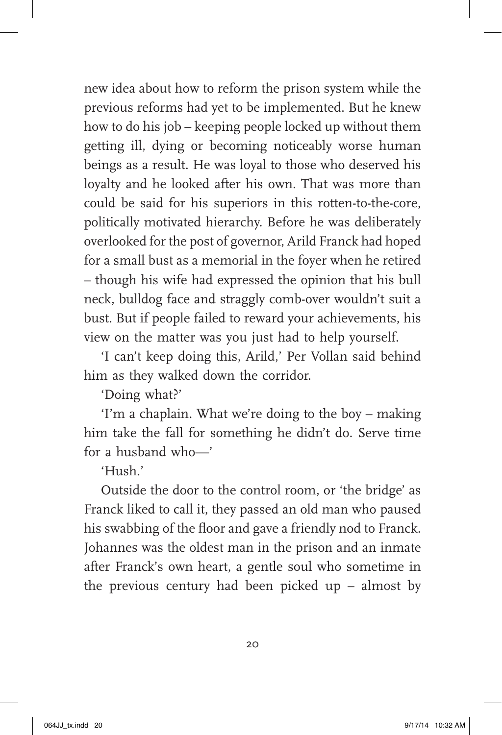new idea about how to reform the prison system while the previous reforms had yet to be implemented. But he knew how to do his job – keeping people locked up without them getting ill, dying or becoming noticeably worse human beings as a result. He was loyal to those who deserved his loyalty and he looked after his own. That was more than could be said for his superiors in this rotten-to-the-core, politically motivated hierarchy. Before he was deliberately overlooked for the post of governor, Arild Franck had hoped for a small bust as a memorial in the foyer when he retired – though his wife had expressed the opinion that his bull neck, bulldog face and straggly comb-over wouldn't suit a bust. But if people failed to reward your achievements, his view on the matter was you just had to help yourself.

'I can't keep doing this, Arild,' Per Vollan said behind him as they walked down the corridor.

'Doing what?'

'I'm a chaplain. What we're doing to the boy – making him take the fall for something he didn't do. Serve time for a husband who—'

 $'H$ <sub>11sh</sub> $'$ 

Outside the door to the control room, or 'the bridge' as Franck liked to call it, they passed an old man who paused his swabbing of the floor and gave a friendly nod to Franck. Johannes was the oldest man in the prison and an inmate after Franck's own heart, a gentle soul who sometime in the previous century had been picked up – almost by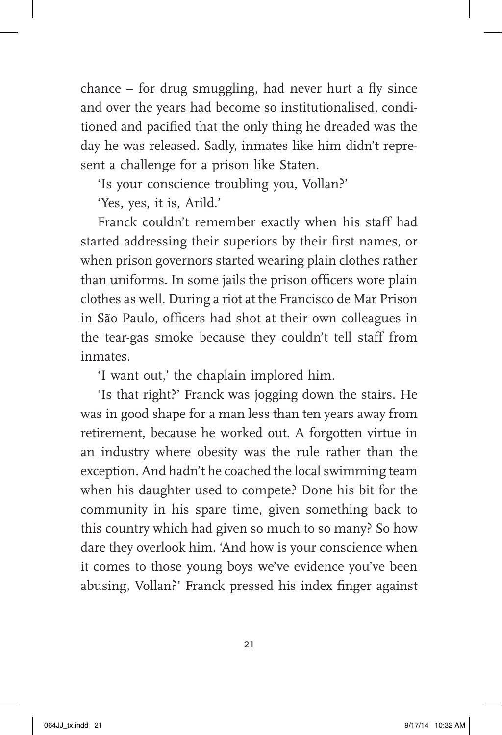chance – for drug smuggling, had never hurt a fly since and over the years had become so institutionalised, conditioned and pacified that the only thing he dreaded was the day he was released. Sadly, inmates like him didn't represent a challenge for a prison like Staten.

'Is your conscience troubling you, Vollan?'

'Yes, yes, it is, Arild.'

Franck couldn't remember exactly when his staff had started addressing their superiors by their first names, or when prison governors started wearing plain clothes rather than uniforms. In some jails the prison officers wore plain clothes as well. During a riot at the Francisco de Mar Prison in São Paulo, officers had shot at their own colleagues in the tear-gas smoke because they couldn't tell staff from inmates.

'I want out,' the chaplain implored him.

'Is that right?' Franck was jogging down the stairs. He was in good shape for a man less than ten years away from retirement, because he worked out. A forgotten virtue in an industry where obesity was the rule rather than the exception. And hadn't he coached the local swimming team when his daughter used to compete? Done his bit for the community in his spare time, given something back to this country which had given so much to so many? So how dare they overlook him. 'And how is your conscience when it comes to those young boys we've evidence you've been abusing, Vollan?' Franck pressed his index finger against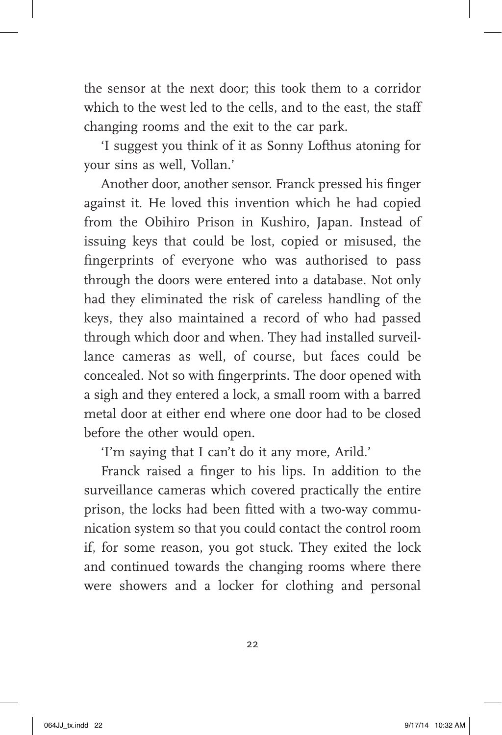the sensor at the next door; this took them to a corridor which to the west led to the cells, and to the east, the staff changing rooms and the exit to the car park.

'I suggest you think of it as Sonny Lofthus atoning for your sins as well, Vollan.'

Another door, another sensor. Franck pressed his finger against it. He loved this invention which he had copied from the Obihiro Prison in Kushiro, Japan. Instead of issuing keys that could be lost, copied or misused, the fingerprints of everyone who was authorised to pass through the doors were entered into a database. Not only had they eliminated the risk of careless handling of the keys, they also maintained a record of who had passed through which door and when. They had installed surveillance cameras as well, of course, but faces could be concealed. Not so with fingerprints. The door opened with a sigh and they entered a lock, a small room with a barred metal door at either end where one door had to be closed before the other would open.

'I'm saying that I can't do it any more, Arild.'

Franck raised a finger to his lips. In addition to the surveillance cameras which covered practically the entire prison, the locks had been fitted with a two-way communication system so that you could contact the control room if, for some reason, you got stuck. They exited the lock and continued towards the changing rooms where there were showers and a locker for clothing and personal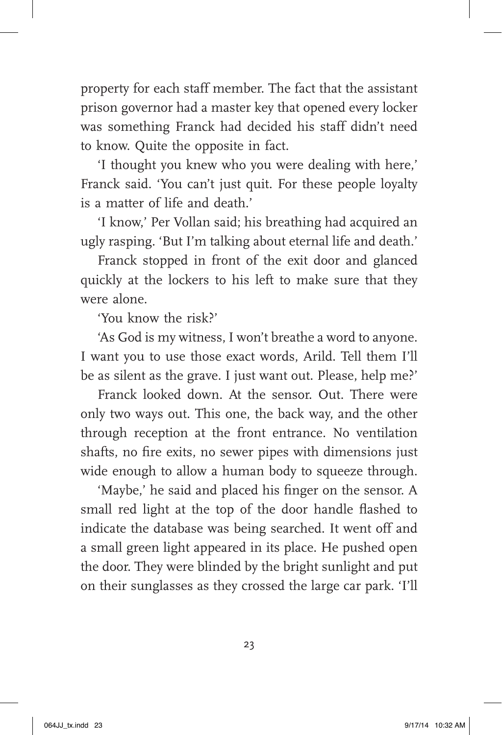property for each staff member. The fact that the assistant prison governor had a master key that opened every locker was something Franck had decided his staff didn't need to know. Quite the opposite in fact.

'I thought you knew who you were dealing with here,' Franck said. 'You can't just quit. For these people loyalty is a matter of life and death.'

'I know,' Per Vollan said; his breathing had acquired an ugly rasping. 'But I'm talking about eternal life and death.'

Franck stopped in front of the exit door and glanced quickly at the lockers to his left to make sure that they were alone.

'You know the risk?'

'As God is my witness, I won't breathe a word to anyone. I want you to use those exact words, Arild. Tell them I'll be as silent as the grave. I just want out. Please, help me?'

Franck looked down. At the sensor. Out. There were only two ways out. This one, the back way, and the other through reception at the front entrance. No ventilation shafts, no fire exits, no sewer pipes with dimensions just wide enough to allow a human body to squeeze through.

'Maybe,' he said and placed his finger on the sensor. A small red light at the top of the door handle flashed to indicate the database was being searched. It went off and a small green light appeared in its place. He pushed open the door. They were blinded by the bright sunlight and put on their sunglasses as they crossed the large car park. 'I'll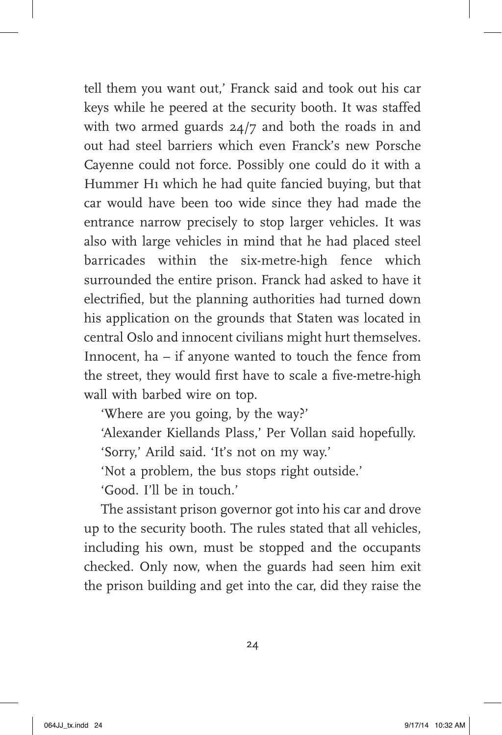tell them you want out,' Franck said and took out his car keys while he peered at the security booth. It was staffed with two armed guards 24/7 and both the roads in and out had steel barriers which even Franck's new Porsche Cayenne could not force. Possibly one could do it with a Hummer H1 which he had quite fancied buying, but that car would have been too wide since they had made the entrance narrow precisely to stop larger vehicles. It was also with large vehicles in mind that he had placed steel barricades within the six-metre-high fence which surrounded the entire prison. Franck had asked to have it electrified, but the planning authorities had turned down his application on the grounds that Staten was located in central Oslo and innocent civilians might hurt themselves. Innocent, ha – if anyone wanted to touch the fence from the street, they would first have to scale a five-metre-high wall with barbed wire on top.

'Where are you going, by the way?'

'Alexander Kiellands Plass,' Per Vollan said hopefully.

'Sorry,' Arild said. 'It's not on my way.'

'Not a problem, the bus stops right outside.'

'Good. I'll be in touch.'

The assistant prison governor got into his car and drove up to the security booth. The rules stated that all vehicles, including his own, must be stopped and the occupants checked. Only now, when the guards had seen him exit the prison building and get into the car, did they raise the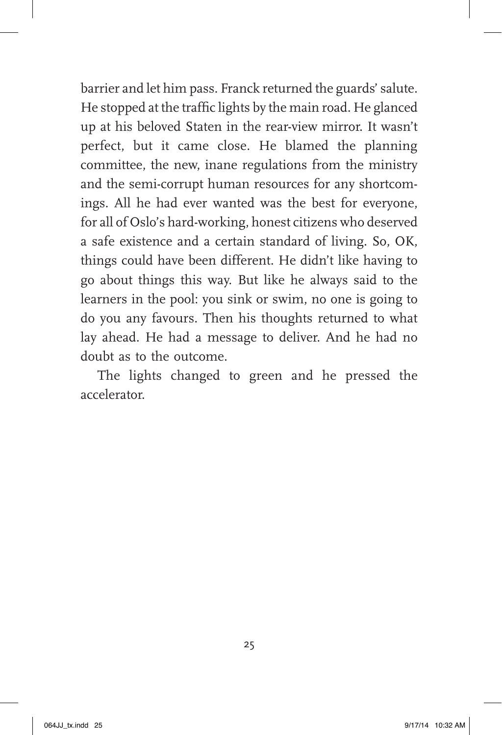barrier and let him pass. Franck returned the guards' salute. He stopped at the traffic lights by the main road. He glanced up at his beloved Staten in the rear-view mirror. It wasn't perfect, but it came close. He blamed the planning committee, the new, inane regulations from the ministry and the semi-corrupt human resources for any shortcomings. All he had ever wanted was the best for everyone, for all of Oslo's hard-working, honest citizens who deserved a safe existence and a certain standard of living. So, OK, things could have been different. He didn't like having to go about things this way. But like he always said to the learners in the pool: you sink or swim, no one is going to do you any favours. Then his thoughts returned to what lay ahead. He had a message to deliver. And he had no doubt as to the outcome.

The lights changed to green and he pressed the accelerator.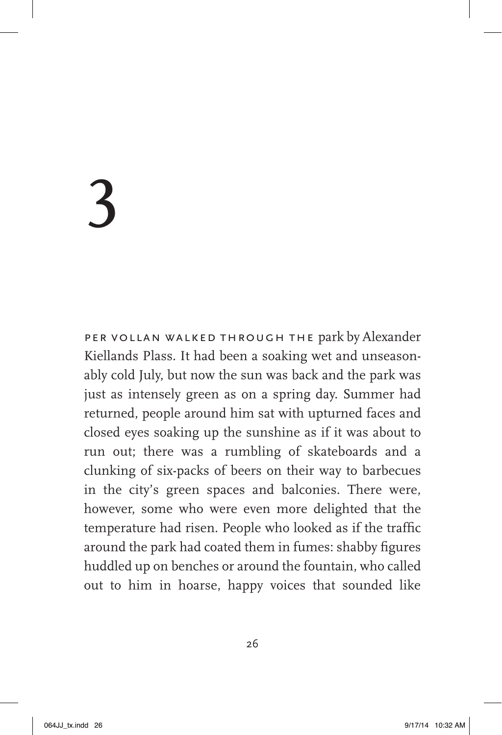# 3

per vollan walked through the park by Alexander Kiellands Plass. It had been a soaking wet and unseasonably cold July, but now the sun was back and the park was just as intensely green as on a spring day. Summer had returned, people around him sat with upturned faces and closed eyes soaking up the sunshine as if it was about to run out; there was a rumbling of skateboards and a clunking of six-packs of beers on their way to barbecues in the city's green spaces and balconies. There were, however, some who were even more delighted that the temperature had risen. People who looked as if the traffic around the park had coated them in fumes: shabby figures huddled up on benches or around the fountain, who called out to him in hoarse, happy voices that sounded like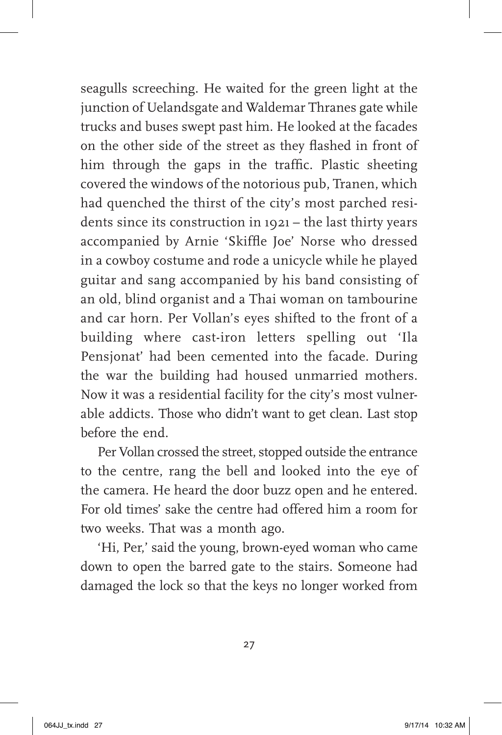seagulls screeching. He waited for the green light at the junction of Uelandsgate and Waldemar Thranes gate while trucks and buses swept past him. He looked at the facades on the other side of the street as they flashed in front of him through the gaps in the traffic. Plastic sheeting covered the windows of the notorious pub, Tranen, which had quenched the thirst of the city's most parched residents since its construction in 1921 – the last thirty years accompanied by Arnie 'Skiffle Joe' Norse who dressed in a cowboy costume and rode a unicycle while he played guitar and sang accompanied by his band consisting of an old, blind organist and a Thai woman on tambourine and car horn. Per Vollan's eyes shifted to the front of a building where cast-iron letters spelling out 'Ila Pensjonat' had been cemented into the facade. During the war the building had housed unmarried mothers. Now it was a residential facility for the city's most vulnerable addicts. Those who didn't want to get clean. Last stop before the end.

Per Vollan crossed the street, stopped outside the entrance to the centre, rang the bell and looked into the eye of the camera. He heard the door buzz open and he entered. For old times' sake the centre had offered him a room for two weeks. That was a month ago.

'Hi, Per,' said the young, brown-eyed woman who came down to open the barred gate to the stairs. Someone had damaged the lock so that the keys no longer worked from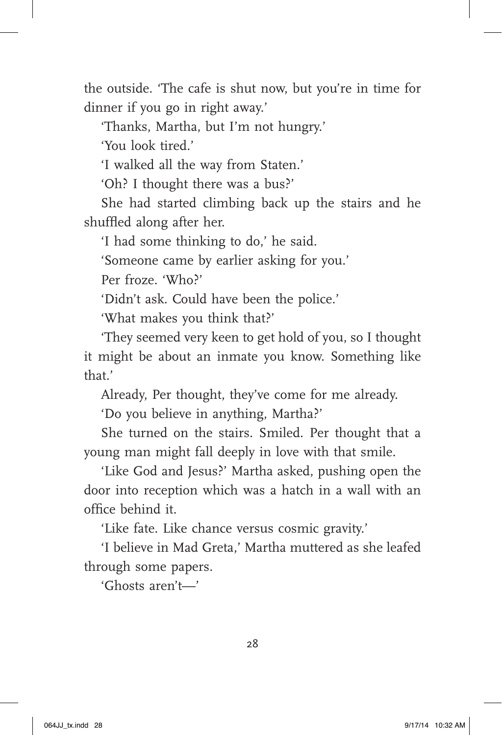the outside. 'The cafe is shut now, but you're in time for dinner if you go in right away.'

'Thanks, Martha, but I'm not hungry.' 'You look tired.'

'I walked all the way from Staten.'

'Oh? I thought there was a bus?'

She had started climbing back up the stairs and he shuffled along after her.

'I had some thinking to do,' he said.

'Someone came by earlier asking for you.'

Per froze. 'Who?'

'Didn't ask. Could have been the police.'

'What makes you think that?'

'They seemed very keen to get hold of you, so I thought it might be about an inmate you know. Something like that.'

Already, Per thought, they've come for me already.

'Do you believe in anything, Martha?'

She turned on the stairs. Smiled. Per thought that a young man might fall deeply in love with that smile.

'Like God and Jesus?' Martha asked, pushing open the door into reception which was a hatch in a wall with an office behind it.

'Like fate. Like chance versus cosmic gravity.'

'I believe in Mad Greta,' Martha muttered as she leafed through some papers.

'Ghosts aren't—'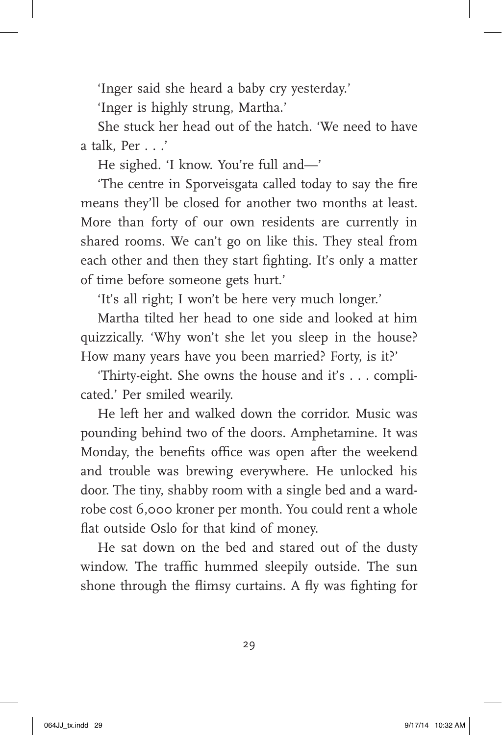'Inger said she heard a baby cry yesterday.'

'Inger is highly strung, Martha.'

She stuck her head out of the hatch. 'We need to have a talk, Per . . .'

He sighed. 'I know. You're full and—'

'The centre in Sporveisgata called today to say the fire means they'll be closed for another two months at least. More than forty of our own residents are currently in shared rooms. We can't go on like this. They steal from each other and then they start fighting. It's only a matter of time before someone gets hurt.'

'It's all right; I won't be here very much longer.'

Martha tilted her head to one side and looked at him quizzically. 'Why won't she let you sleep in the house? How many years have you been married? Forty, is it?'

'Thirty-eight. She owns the house and it's . . . complicated.' Per smiled wearily.

He left her and walked down the corridor. Music was pounding behind two of the doors. Amphetamine. It was Monday, the benefits office was open after the weekend and trouble was brewing everywhere. He unlocked his door. The tiny, shabby room with a single bed and a wardrobe cost 6,000 kroner per month. You could rent a whole flat outside Oslo for that kind of money.

He sat down on the bed and stared out of the dusty window. The traffic hummed sleepily outside. The sun shone through the flimsy curtains. A fly was fighting for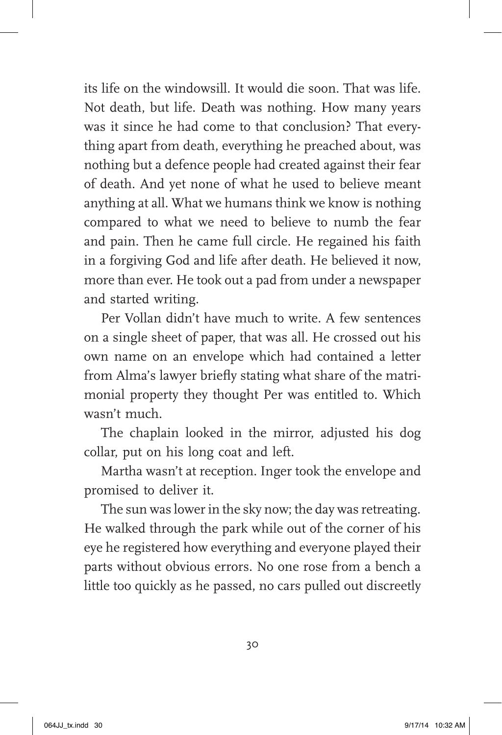its life on the windowsill. It would die soon. That was life. Not death, but life. Death was nothing. How many years was it since he had come to that conclusion? That everything apart from death, everything he preached about, was nothing but a defence people had created against their fear of death. And yet none of what he used to believe meant anything at all. What we humans think we know is nothing compared to what we need to believe to numb the fear and pain. Then he came full circle. He regained his faith in a forgiving God and life after death. He believed it now, more than ever. He took out a pad from under a newspaper and started writing.

Per Vollan didn't have much to write. A few sentences on a single sheet of paper, that was all. He crossed out his own name on an envelope which had contained a letter from Alma's lawyer briefly stating what share of the matrimonial property they thought Per was entitled to. Which wasn't much.

The chaplain looked in the mirror, adjusted his dog collar, put on his long coat and left.

Martha wasn't at reception. Inger took the envelope and promised to deliver it.

The sun was lower in the sky now; the day was retreating. He walked through the park while out of the corner of his eye he registered how everything and everyone played their parts without obvious errors. No one rose from a bench a little too quickly as he passed, no cars pulled out discreetly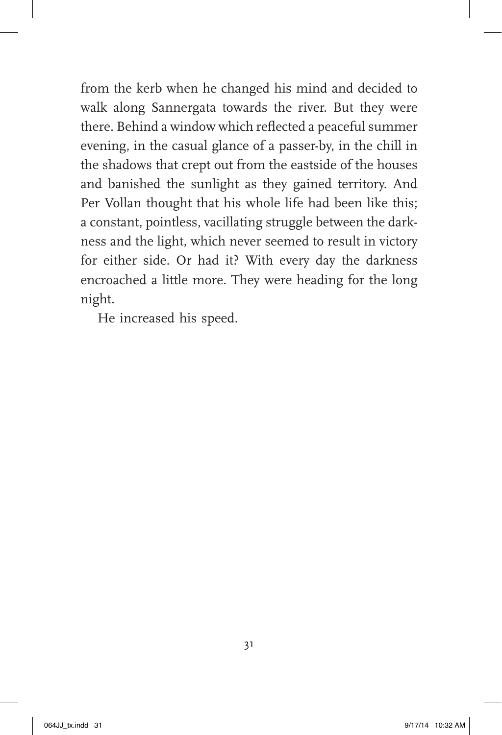from the kerb when he changed his mind and decided to walk along Sannergata towards the river. But they were there. Behind a window which reflected a peaceful summer evening, in the casual glance of a passer-by, in the chill in the shadows that crept out from the eastside of the houses and banished the sunlight as they gained territory. And Per Vollan thought that his whole life had been like this; a constant, pointless, vacillating struggle between the darkness and the light, which never seemed to result in victory for either side. Or had it? With every day the darkness encroached a little more. They were heading for the long night.

He increased his speed.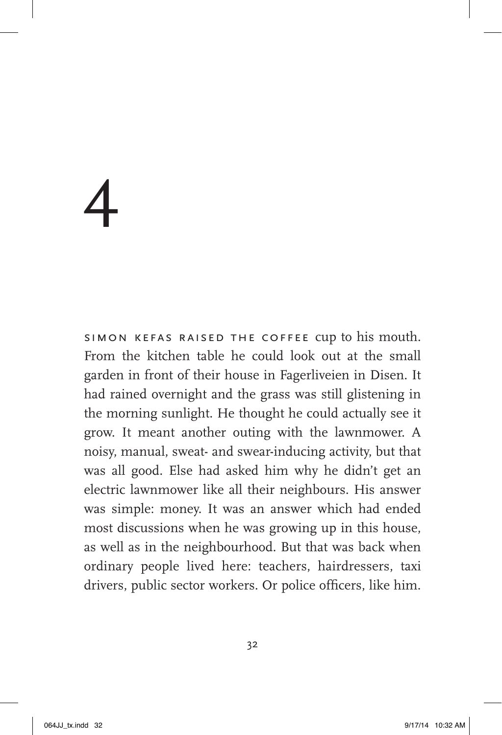# 4

simon kefas raised the coffee cup to his mouth. From the kitchen table he could look out at the small garden in front of their house in Fagerliveien in Disen. It had rained overnight and the grass was still glistening in the morning sunlight. He thought he could actually see it grow. It meant another outing with the lawnmower. A noisy, manual, sweat- and swear-inducing activity, but that was all good. Else had asked him why he didn't get an electric lawnmower like all their neighbours. His answer was simple: money. It was an answer which had ended most discussions when he was growing up in this house, as well as in the neighbourhood. But that was back when ordinary people lived here: teachers, hairdressers, taxi drivers, public sector workers. Or police officers, like him.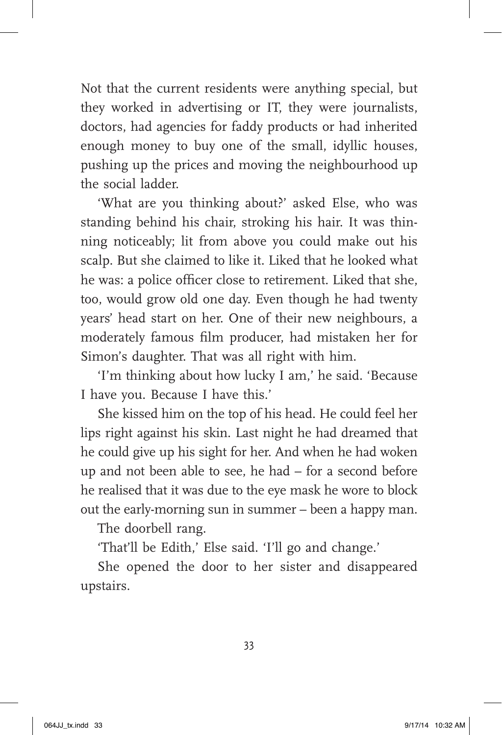Not that the current residents were anything special, but they worked in advertising or IT, they were journalists, doctors, had agencies for faddy products or had inherited enough money to buy one of the small, idyllic houses, pushing up the prices and moving the neighbourhood up the social ladder.

'What are you thinking about?' asked Else, who was standing behind his chair, stroking his hair. It was thinning noticeably; lit from above you could make out his scalp. But she claimed to like it. Liked that he looked what he was: a police officer close to retirement. Liked that she, too, would grow old one day. Even though he had twenty years' head start on her. One of their new neighbours, a moderately famous film producer, had mistaken her for Simon's daughter. That was all right with him.

'I'm thinking about how lucky I am,' he said. 'Because I have you. Because I have this.'

She kissed him on the top of his head. He could feel her lips right against his skin. Last night he had dreamed that he could give up his sight for her. And when he had woken up and not been able to see, he had – for a second before he realised that it was due to the eye mask he wore to block out the early-morning sun in summer – been a happy man.

The doorbell rang.

'That'll be Edith,' Else said. 'I'll go and change.'

She opened the door to her sister and disappeared upstairs.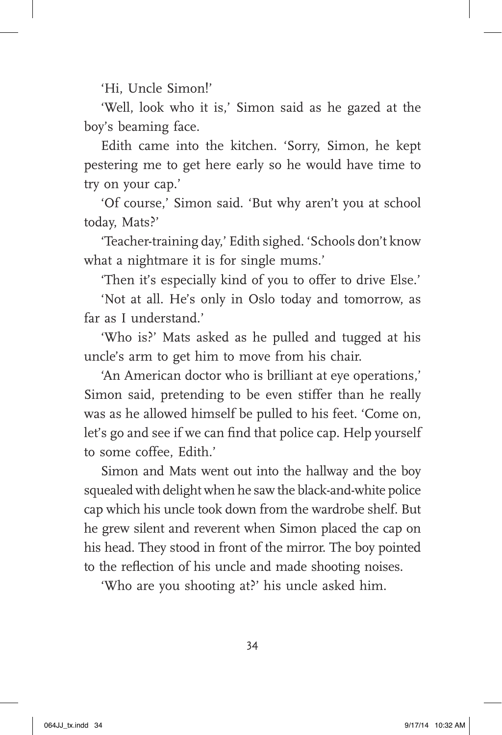'Hi, Uncle Simon!'

'Well, look who it is,' Simon said as he gazed at the boy's beaming face.

Edith came into the kitchen. 'Sorry, Simon, he kept pestering me to get here early so he would have time to try on your cap.'

'Of course,' Simon said. 'But why aren't you at school today, Mats?'

'Teacher-training day,' Edith sighed. 'Schools don't know what a nightmare it is for single mums.'

'Then it's especially kind of you to offer to drive Else.'

'Not at all. He's only in Oslo today and tomorrow, as far as I understand.'

'Who is?' Mats asked as he pulled and tugged at his uncle's arm to get him to move from his chair.

'An American doctor who is brilliant at eye operations,' Simon said, pretending to be even stiffer than he really was as he allowed himself be pulled to his feet. 'Come on, let's go and see if we can find that police cap. Help yourself to some coffee, Edith.'

Simon and Mats went out into the hallway and the boy squealed with delight when he saw the black-and-white police cap which his uncle took down from the wardrobe shelf. But he grew silent and reverent when Simon placed the cap on his head. They stood in front of the mirror. The boy pointed to the reflection of his uncle and made shooting noises.

'Who are you shooting at?' his uncle asked him.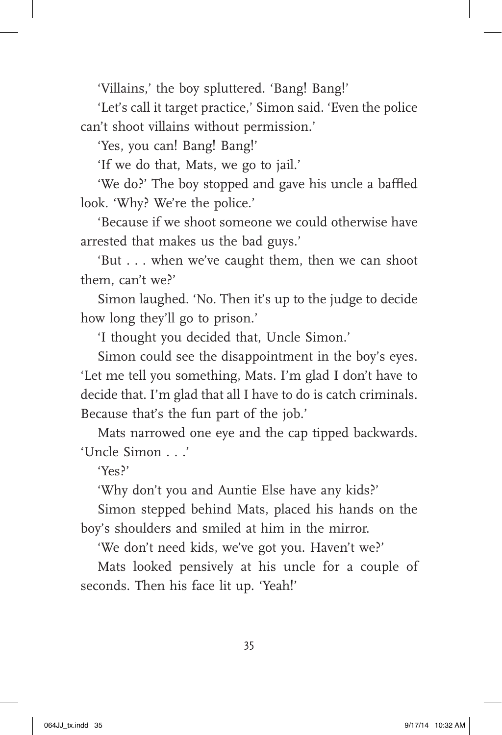'Villains,' the boy spluttered. 'Bang! Bang!'

'Let's call it target practice,' Simon said. 'Even the police can't shoot villains without permission.'

'Yes, you can! Bang! Bang!'

'If we do that, Mats, we go to jail.'

'We do?' The boy stopped and gave his uncle a baffled look. 'Why? We're the police.'

'Because if we shoot someone we could otherwise have arrested that makes us the bad guys.'

'But . . . when we've caught them, then we can shoot them, can't we?'

Simon laughed. 'No. Then it's up to the judge to decide how long they'll go to prison.'

'I thought you decided that, Uncle Simon.'

Simon could see the disappointment in the boy's eyes. 'Let me tell you something, Mats. I'm glad I don't have to decide that. I'm glad that all I have to do is catch criminals. Because that's the fun part of the job.'

Mats narrowed one eye and the cap tipped backwards. 'Uncle Simon . . .'

'Yes?'

'Why don't you and Auntie Else have any kids?'

Simon stepped behind Mats, placed his hands on the boy's shoulders and smiled at him in the mirror.

'We don't need kids, we've got you. Haven't we?'

Mats looked pensively at his uncle for a couple of seconds. Then his face lit up. 'Yeah!'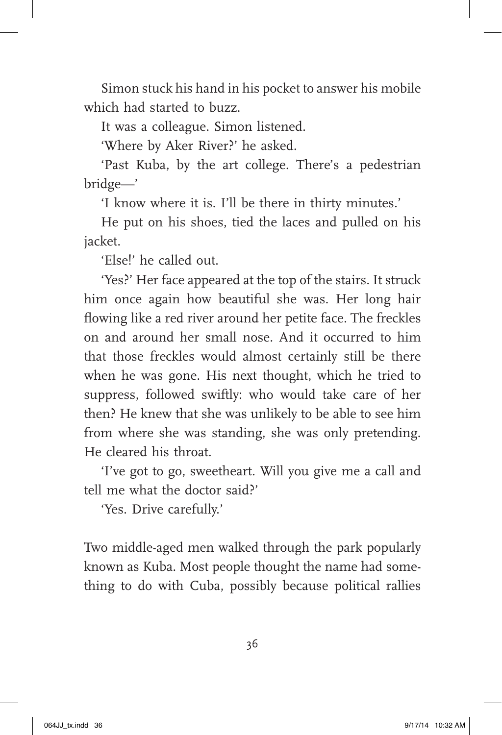Simon stuck his hand in his pocket to answer his mobile which had started to buzz

It was a colleague. Simon listened.

'Where by Aker River?' he asked.

'Past Kuba, by the art college. There's a pedestrian bridge—'

'I know where it is. I'll be there in thirty minutes.'

He put on his shoes, tied the laces and pulled on his jacket.

'Else!' he called out.

'Yes?' Her face appeared at the top of the stairs. It struck him once again how beautiful she was. Her long hair flowing like a red river around her petite face. The freckles on and around her small nose. And it occurred to him that those freckles would almost certainly still be there when he was gone. His next thought, which he tried to suppress, followed swiftly: who would take care of her then? He knew that she was unlikely to be able to see him from where she was standing, she was only pretending. He cleared his throat.

'I've got to go, sweetheart. Will you give me a call and tell me what the doctor said?'

'Yes. Drive carefully.'

Two middle-aged men walked through the park popularly known as Kuba. Most people thought the name had something to do with Cuba, possibly because political rallies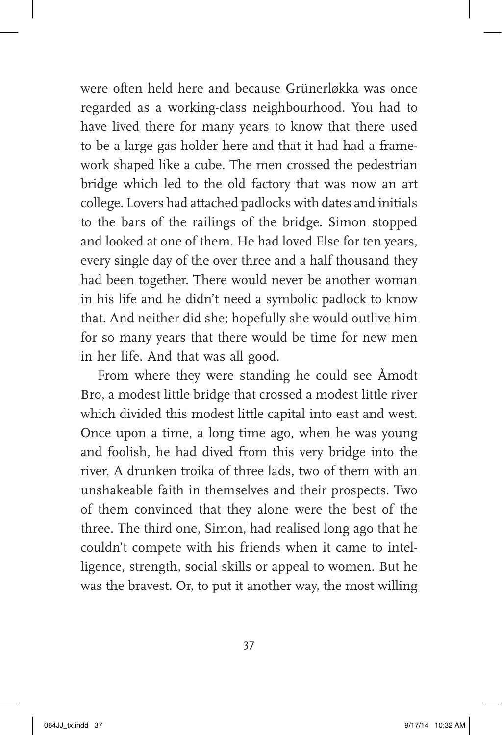were often held here and because Grünerløkka was once regarded as a working-class neighbourhood. You had to have lived there for many years to know that there used to be a large gas holder here and that it had had a framework shaped like a cube. The men crossed the pedestrian bridge which led to the old factory that was now an art college. Lovers had attached padlocks with dates and initials to the bars of the railings of the bridge. Simon stopped and looked at one of them. He had loved Else for ten years, every single day of the over three and a half thousand they had been together. There would never be another woman in his life and he didn't need a symbolic padlock to know that. And neither did she; hopefully she would outlive him for so many years that there would be time for new men in her life. And that was all good.

From where they were standing he could see Åmodt Bro, a modest little bridge that crossed a modest little river which divided this modest little capital into east and west. Once upon a time, a long time ago, when he was young and foolish, he had dived from this very bridge into the river. A drunken troika of three lads, two of them with an unshakeable faith in themselves and their prospects. Two of them convinced that they alone were the best of the three. The third one, Simon, had realised long ago that he couldn't compete with his friends when it came to intelligence, strength, social skills or appeal to women. But he was the bravest. Or, to put it another way, the most willing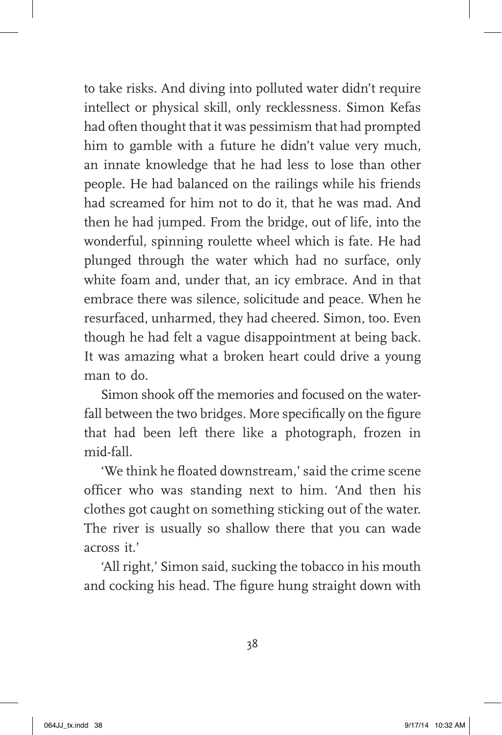to take risks. And diving into polluted water didn't require intellect or physical skill, only recklessness. Simon Kefas had often thought that it was pessimism that had prompted him to gamble with a future he didn't value very much, an innate knowledge that he had less to lose than other people. He had balanced on the railings while his friends had screamed for him not to do it, that he was mad. And then he had jumped. From the bridge, out of life, into the wonderful, spinning roulette wheel which is fate. He had plunged through the water which had no surface, only white foam and, under that, an icy embrace. And in that embrace there was silence, solicitude and peace. When he resurfaced, unharmed, they had cheered. Simon, too. Even though he had felt a vague disappointment at being back. It was amazing what a broken heart could drive a young man to do.

Simon shook off the memories and focused on the waterfall between the two bridges. More specifically on the figure that had been left there like a photograph, frozen in mid-fall.

'We think he floated downstream,' said the crime scene officer who was standing next to him. 'And then his clothes got caught on something sticking out of the water. The river is usually so shallow there that you can wade across it.'

'All right,' Simon said, sucking the tobacco in his mouth and cocking his head. The figure hung straight down with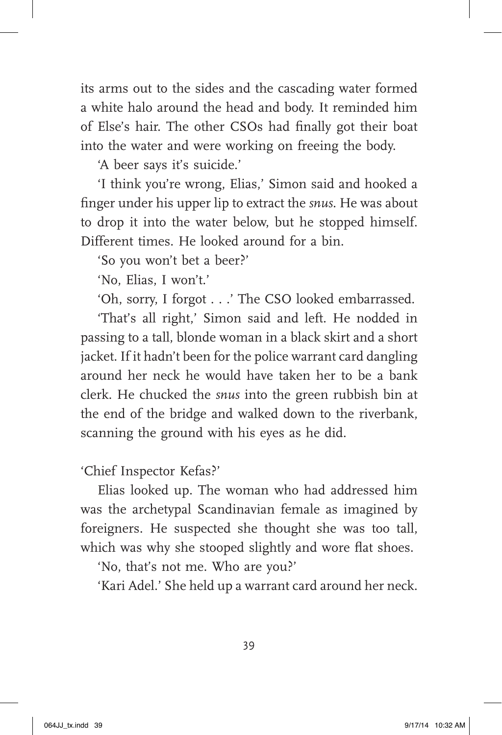its arms out to the sides and the cascading water formed a white halo around the head and body. It reminded him of Else's hair. The other CSOs had finally got their boat into the water and were working on freeing the body.

'A beer says it's suicide.'

'I think you're wrong, Elias,' Simon said and hooked a finger under his upper lip to extract the *snus*. He was about to drop it into the water below, but he stopped himself. Different times. He looked around for a bin.

'So you won't bet a beer?'

'No, Elias, I won't.'

'Oh, sorry, I forgot . . .' The CSO looked embarrassed.

'That's all right,' Simon said and left. He nodded in passing to a tall, blonde woman in a black skirt and a short jacket. If it hadn't been for the police warrant card dangling around her neck he would have taken her to be a bank clerk. He chucked the *snus* into the green rubbish bin at the end of the bridge and walked down to the riverbank, scanning the ground with his eyes as he did.

'Chief Inspector Kefas?'

Elias looked up. The woman who had addressed him was the archetypal Scandinavian female as imagined by foreigners. He suspected she thought she was too tall, which was why she stooped slightly and wore flat shoes.

'No, that's not me. Who are you?'

'Kari Adel.' She held up a warrant card around her neck.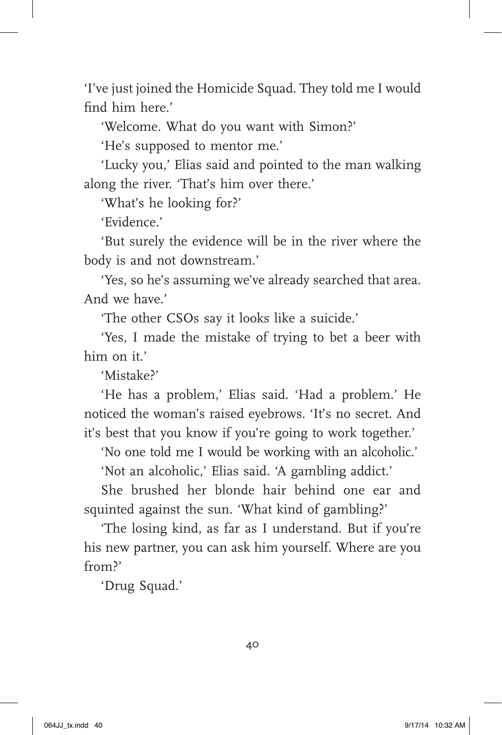'I've just joined the Homicide Squad. They told me I would find him here.'

'Welcome. What do you want with Simon?'

'He's supposed to mentor me.'

'Lucky you,' Elias said and pointed to the man walking along the river. 'That's him over there.'

'What's he looking for?'

'Evidence.'

'But surely the evidence will be in the river where the body is and not downstream.'

'Yes, so he's assuming we've already searched that area. And we have.'

'The other CSOs say it looks like a suicide.'

'Yes, I made the mistake of trying to bet a beer with him on it'

'Mistake?'

'He has a problem,' Elias said. 'Had a problem.' He noticed the woman's raised eyebrows. 'It's no secret. And it's best that you know if you're going to work together.'

'No one told me I would be working with an alcoholic.'

'Not an alcoholic,' Elias said. 'A gambling addict.'

She brushed her blonde hair behind one ear and squinted against the sun. 'What kind of gambling?'

'The losing kind, as far as I understand. But if you're his new partner, you can ask him yourself. Where are you from?'

'Drug Squad.'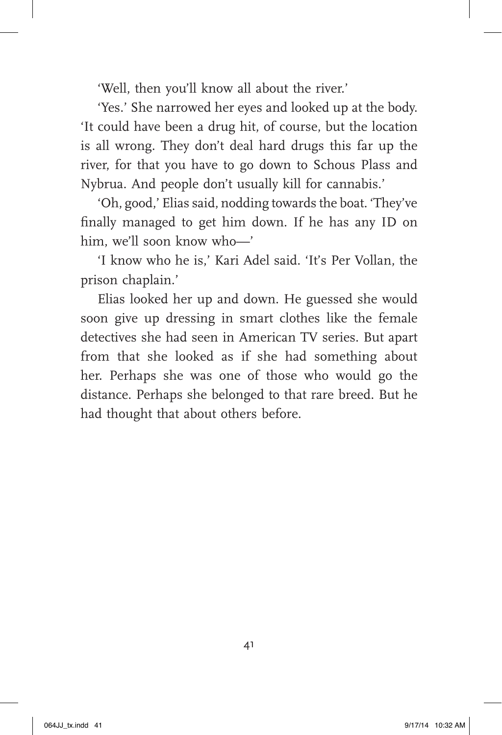'Well, then you'll know all about the river.'

'Yes.' She narrowed her eyes and looked up at the body. 'It could have been a drug hit, of course, but the location is all wrong. They don't deal hard drugs this far up the river, for that you have to go down to Schous Plass and Nybrua. And people don't usually kill for cannabis.'

'Oh, good,' Elias said, nodding towards the boat. 'They've finally managed to get him down. If he has any ID on him, we'll soon know who—'

'I know who he is,' Kari Adel said. 'It's Per Vollan, the prison chaplain.'

Elias looked her up and down. He guessed she would soon give up dressing in smart clothes like the female detectives she had seen in American TV series. But apart from that she looked as if she had something about her. Perhaps she was one of those who would go the distance. Perhaps she belonged to that rare breed. But he had thought that about others before.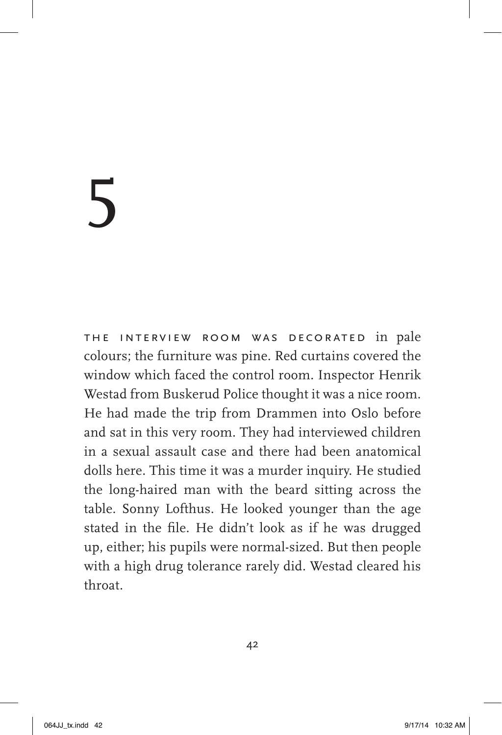# 5

the interview room was decorated in pale colours; the furniture was pine. Red curtains covered the window which faced the control room. Inspector Henrik Westad from Buskerud Police thought it was a nice room. He had made the trip from Drammen into Oslo before and sat in this very room. They had interviewed children in a sexual assault case and there had been anatomical dolls here. This time it was a murder inquiry. He studied the long-haired man with the beard sitting across the table. Sonny Lofthus. He looked younger than the age stated in the file. He didn't look as if he was drugged up, either; his pupils were normal-sized. But then people with a high drug tolerance rarely did. Westad cleared his throat.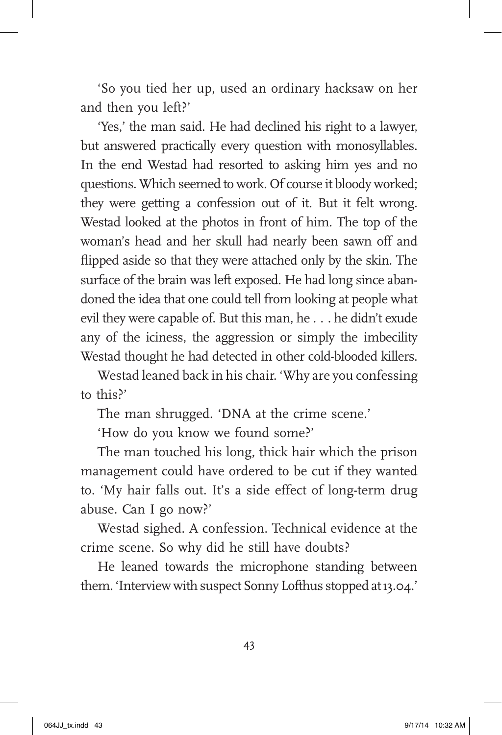'So you tied her up, used an ordinary hacksaw on her and then you left?'

'Yes,' the man said. He had declined his right to a lawyer, but answered practically every question with monosyllables. In the end Westad had resorted to asking him yes and no questions. Which seemed to work. Of course it bloody worked; they were getting a confession out of it. But it felt wrong. Westad looked at the photos in front of him. The top of the woman's head and her skull had nearly been sawn off and flipped aside so that they were attached only by the skin. The surface of the brain was left exposed. He had long since abandoned the idea that one could tell from looking at people what evil they were capable of. But this man, he . . . he didn't exude any of the iciness, the aggression or simply the imbecility Westad thought he had detected in other cold-blooded killers.

Westad leaned back in his chair. 'Why are you confessing to this?'

The man shrugged. 'DNA at the crime scene.'

'How do you know we found some?'

The man touched his long, thick hair which the prison management could have ordered to be cut if they wanted to. 'My hair falls out. It's a side effect of long-term drug abuse. Can I go now?'

Westad sighed. A confession. Technical evidence at the crime scene. So why did he still have doubts?

He leaned towards the microphone standing between them. 'Interview with suspect Sonny Lofthus stopped at 13.04.'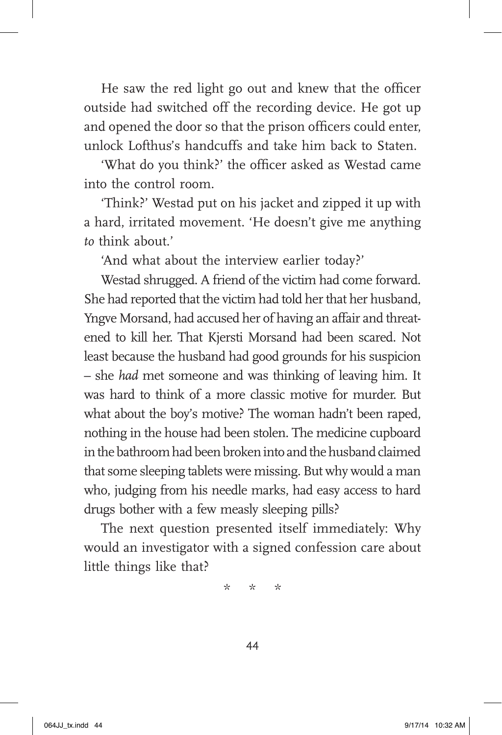He saw the red light go out and knew that the officer outside had switched off the recording device. He got up and opened the door so that the prison officers could enter, unlock Lofthus's handcuffs and take him back to Staten.

'What do you think?' the officer asked as Westad came into the control room.

'Think?' Westad put on his jacket and zipped it up with a hard, irritated movement. 'He doesn't give me anything *to* think about.'

'And what about the interview earlier today?'

Westad shrugged. A friend of the victim had come forward. She had reported that the victim had told her that her husband, Yngve Morsand, had accused her of having an affair and threatened to kill her. That Kjersti Morsand had been scared. Not least because the husband had good grounds for his suspicion – she *had* met someone and was thinking of leaving him. It was hard to think of a more classic motive for murder. But what about the boy's motive? The woman hadn't been raped, nothing in the house had been stolen. The medicine cupboard in the bathroom had been broken into and the husband claimed that some sleeping tablets were missing. But why would a man who, judging from his needle marks, had easy access to hard drugs bother with a few measly sleeping pills?

The next question presented itself immediately: Why would an investigator with a signed confession care about little things like that?

\* \* \*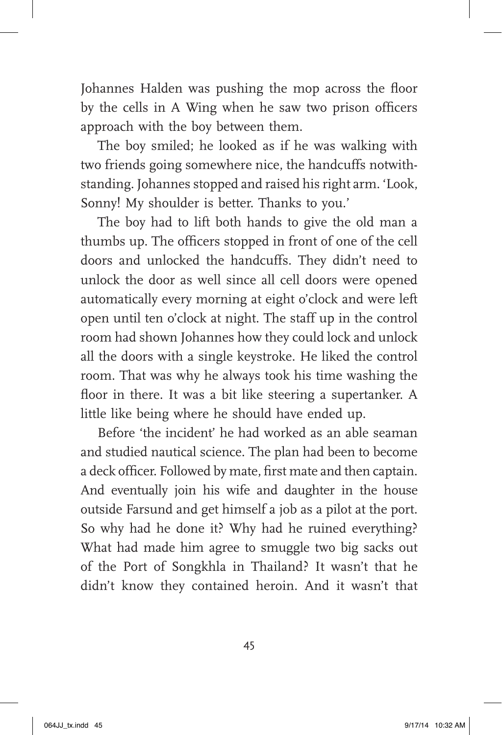Johannes Halden was pushing the mop across the floor by the cells in A Wing when he saw two prison officers approach with the boy between them.

The boy smiled; he looked as if he was walking with two friends going somewhere nice, the handcuffs notwithstanding. Johannes stopped and raised his right arm. 'Look, Sonny! My shoulder is better. Thanks to you.'

The boy had to lift both hands to give the old man a thumbs up. The officers stopped in front of one of the cell doors and unlocked the handcuffs. They didn't need to unlock the door as well since all cell doors were opened automatically every morning at eight o'clock and were left open until ten o'clock at night. The staff up in the control room had shown Johannes how they could lock and unlock all the doors with a single keystroke. He liked the control room. That was why he always took his time washing the floor in there. It was a bit like steering a supertanker. A little like being where he should have ended up.

Before 'the incident' he had worked as an able seaman and studied nautical science. The plan had been to become a deck officer. Followed by mate, first mate and then captain. And eventually join his wife and daughter in the house outside Farsund and get himself a job as a pilot at the port. So why had he done it? Why had he ruined everything? What had made him agree to smuggle two big sacks out of the Port of Songkhla in Thailand? It wasn't that he didn't know they contained heroin. And it wasn't that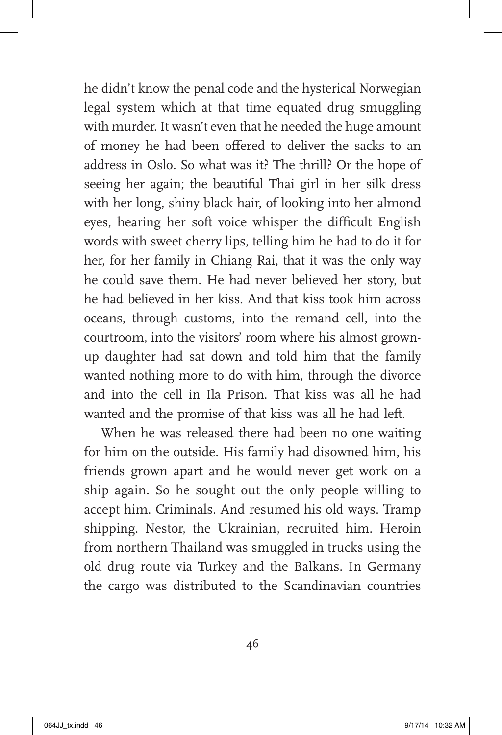he didn't know the penal code and the hysterical Norwegian legal system which at that time equated drug smuggling with murder. It wasn't even that he needed the huge amount of money he had been offered to deliver the sacks to an address in Oslo. So what was it? The thrill? Or the hope of seeing her again; the beautiful Thai girl in her silk dress with her long, shiny black hair, of looking into her almond eyes, hearing her soft voice whisper the difficult English words with sweet cherry lips, telling him he had to do it for her, for her family in Chiang Rai, that it was the only way he could save them. He had never believed her story, but he had believed in her kiss. And that kiss took him across oceans, through customs, into the remand cell, into the courtroom, into the visitors' room where his almost grownup daughter had sat down and told him that the family wanted nothing more to do with him, through the divorce and into the cell in Ila Prison. That kiss was all he had wanted and the promise of that kiss was all he had left.

When he was released there had been no one waiting for him on the outside. His family had disowned him, his friends grown apart and he would never get work on a ship again. So he sought out the only people willing to accept him. Criminals. And resumed his old ways. Tramp shipping. Nestor, the Ukrainian, recruited him. Heroin from northern Thailand was smuggled in trucks using the old drug route via Turkey and the Balkans. In Germany the cargo was distributed to the Scandinavian countries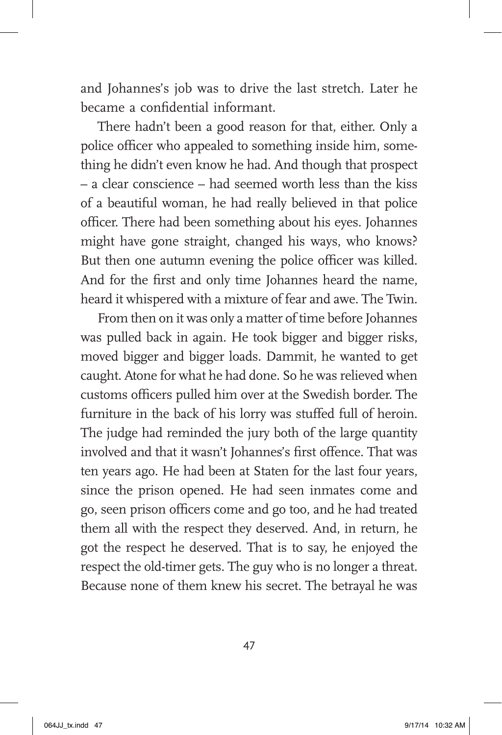and Johannes's job was to drive the last stretch. Later he became a confidential informant.

There hadn't been a good reason for that, either. Only a police officer who appealed to something inside him, something he didn't even know he had. And though that prospect – a clear conscience – had seemed worth less than the kiss of a beautiful woman, he had really believed in that police officer. There had been something about his eyes. Johannes might have gone straight, changed his ways, who knows? But then one autumn evening the police officer was killed. And for the first and only time Johannes heard the name, heard it whispered with a mixture of fear and awe. The Twin.

From then on it was only a matter of time before Johannes was pulled back in again. He took bigger and bigger risks, moved bigger and bigger loads. Dammit, he wanted to get caught. Atone for what he had done. So he was relieved when customs officers pulled him over at the Swedish border. The furniture in the back of his lorry was stuffed full of heroin. The judge had reminded the jury both of the large quantity involved and that it wasn't Johannes's first offence. That was ten years ago. He had been at Staten for the last four years, since the prison opened. He had seen inmates come and go, seen prison officers come and go too, and he had treated them all with the respect they deserved. And, in return, he got the respect he deserved. That is to say, he enjoyed the respect the old-timer gets. The guy who is no longer a threat. Because none of them knew his secret. The betrayal he was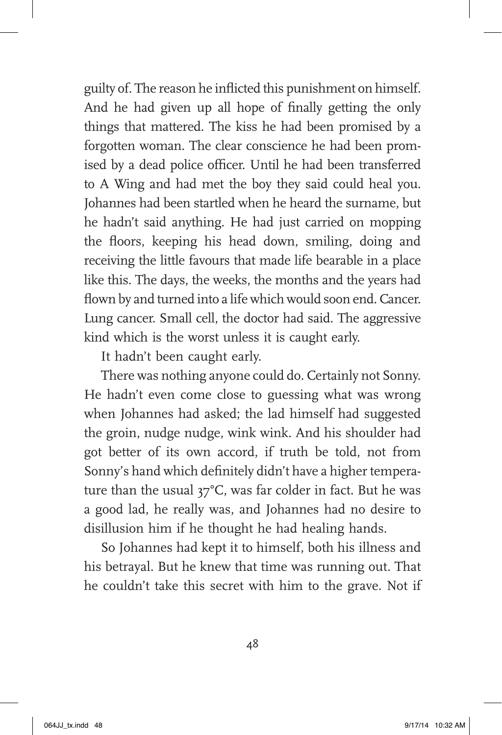guilty of. The reason he inflicted this punishment on himself. And he had given up all hope of finally getting the only things that mattered. The kiss he had been promised by a forgotten woman. The clear conscience he had been promised by a dead police officer. Until he had been transferred to A Wing and had met the boy they said could heal you. Johannes had been startled when he heard the surname, but he hadn't said anything. He had just carried on mopping the floors, keeping his head down, smiling, doing and receiving the little favours that made life bearable in a place like this. The days, the weeks, the months and the years had flown by and turned into a life which would soon end. Cancer. Lung cancer. Small cell, the doctor had said. The aggressive kind which is the worst unless it is caught early.

It hadn't been caught early.

There was nothing anyone could do. Certainly not Sonny. He hadn't even come close to guessing what was wrong when Johannes had asked; the lad himself had suggested the groin, nudge nudge, wink wink. And his shoulder had got better of its own accord, if truth be told, not from Sonny's hand which definitely didn't have a higher temperature than the usual 37°C, was far colder in fact. But he was a good lad, he really was, and Johannes had no desire to disillusion him if he thought he had healing hands.

So Johannes had kept it to himself, both his illness and his betrayal. But he knew that time was running out. That he couldn't take this secret with him to the grave. Not if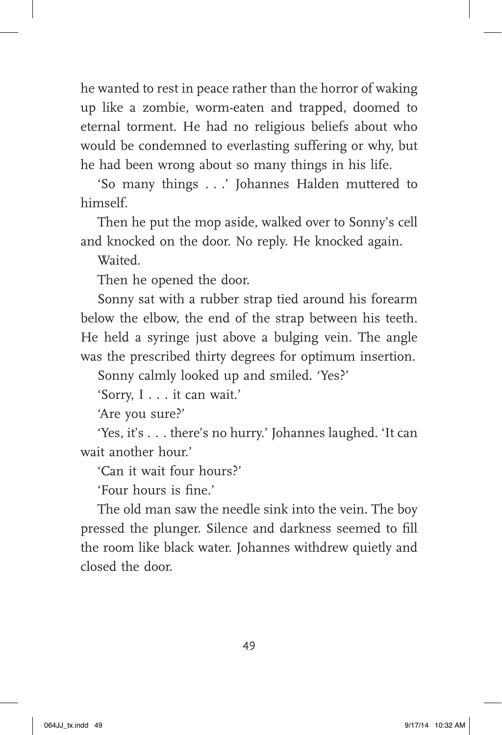he wanted to rest in peace rather than the horror of waking up like a zombie, worm-eaten and trapped, doomed to eternal torment. He had no religious beliefs about who would be condemned to everlasting suffering or why, but he had been wrong about so many things in his life.

'So many things . . .' Johannes Halden muttered to himself.

Then he put the mop aside, walked over to Sonny's cell and knocked on the door. No reply. He knocked again.

Waited.

Then he opened the door.

Sonny sat with a rubber strap tied around his forearm below the elbow, the end of the strap between his teeth. He held a syringe just above a bulging vein. The angle was the prescribed thirty degrees for optimum insertion.

Sonny calmly looked up and smiled. 'Yes?'

'Sorry, I . . . it can wait.'

'Are you sure?'

'Yes, it's . . . there's no hurry.' Johannes laughed. 'It can wait another hour.'

'Can it wait four hours?'

'Four hours is fine.'

The old man saw the needle sink into the vein. The boy pressed the plunger. Silence and darkness seemed to fill the room like black water. Johannes withdrew quietly and closed the door.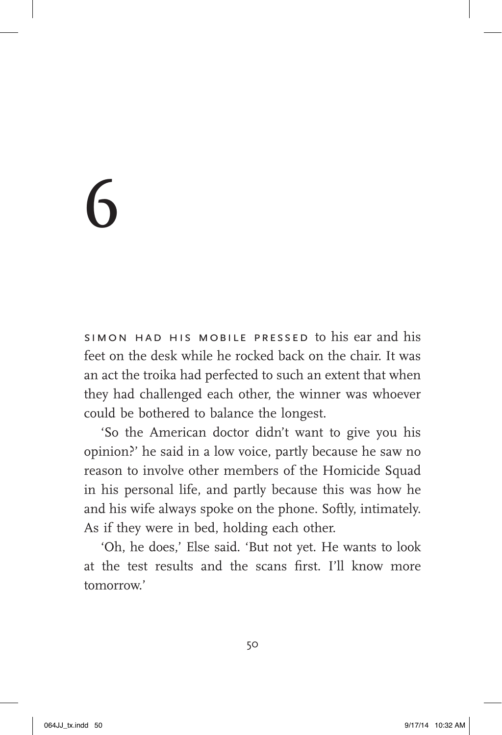#### 6

simon had his mobile pressed to his ear and his feet on the desk while he rocked back on the chair. It was an act the troika had perfected to such an extent that when they had challenged each other, the winner was whoever could be bothered to balance the longest.

'So the American doctor didn't want to give you his opinion?' he said in a low voice, partly because he saw no reason to involve other members of the Homicide Squad in his personal life, and partly because this was how he and his wife always spoke on the phone. Softly, intimately. As if they were in bed, holding each other.

'Oh, he does,' Else said. 'But not yet. He wants to look at the test results and the scans first. I'll know more tomorrow.'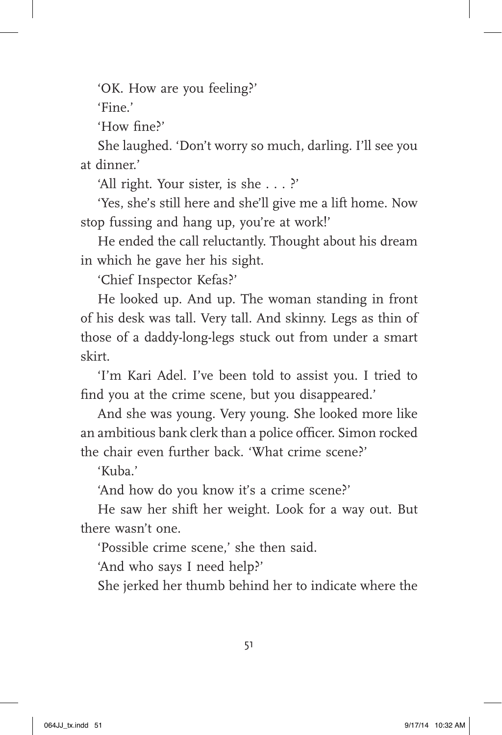'OK. How are you feeling?'

 $'$ Fine'

'How fine?'

She laughed. 'Don't worry so much, darling. I'll see you at dinner.'

'All right. Your sister, is she . . . ?'

'Yes, she's still here and she'll give me a lift home. Now stop fussing and hang up, you're at work!'

He ended the call reluctantly. Thought about his dream in which he gave her his sight.

'Chief Inspector Kefas?'

He looked up. And up. The woman standing in front of his desk was tall. Very tall. And skinny. Legs as thin of those of a daddy-long-legs stuck out from under a smart skirt.

'I'm Kari Adel. I've been told to assist you. I tried to find you at the crime scene, but you disappeared.'

And she was young. Very young. She looked more like an ambitious bank clerk than a police officer. Simon rocked the chair even further back. 'What crime scene?'

 $'$ Kuba $'$ 

'And how do you know it's a crime scene?'

He saw her shift her weight. Look for a way out. But there wasn't one.

'Possible crime scene,' she then said.

'And who says I need help?'

She jerked her thumb behind her to indicate where the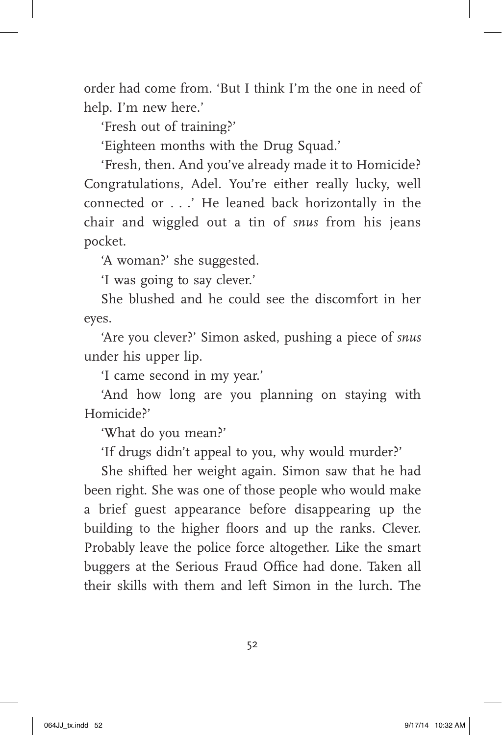order had come from. 'But I think I'm the one in need of help. I'm new here.'

'Fresh out of training?'

'Eighteen months with the Drug Squad.'

'Fresh, then. And you've already made it to Homicide? Congratulations, Adel. You're either really lucky, well connected or . . .' He leaned back horizontally in the chair and wiggled out a tin of *snus* from his jeans pocket.

'A woman?' she suggested.

'I was going to say clever.'

She blushed and he could see the discomfort in her eyes.

'Are you clever?' Simon asked, pushing a piece of *snus* under his upper lip.

'I came second in my year.'

'And how long are you planning on staying with Homicide?'

'What do you mean?'

'If drugs didn't appeal to you, why would murder?'

She shifted her weight again. Simon saw that he had been right. She was one of those people who would make a brief guest appearance before disappearing up the building to the higher floors and up the ranks. Clever. Probably leave the police force altogether. Like the smart buggers at the Serious Fraud Office had done. Taken all their skills with them and left Simon in the lurch. The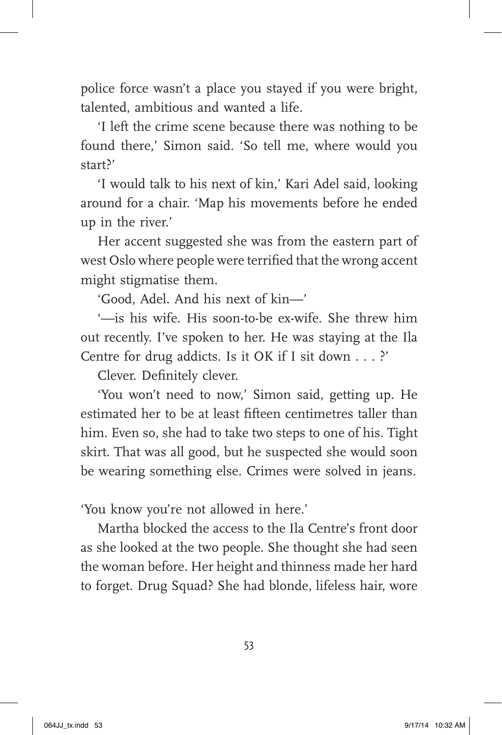police force wasn't a place you stayed if you were bright, talented, ambitious and wanted a life.

'I left the crime scene because there was nothing to be found there,' Simon said. 'So tell me, where would you start?'

'I would talk to his next of kin,' Kari Adel said, looking around for a chair. 'Map his movements before he ended up in the river.'

Her accent suggested she was from the eastern part of west Oslo where people were terrified that the wrong accent might stigmatise them.

'Good, Adel. And his next of kin—'

'—is his wife. His soon-to-be ex-wife. She threw him out recently. I've spoken to her. He was staying at the Ila Centre for drug addicts. Is it OK if I sit down . . . ?'

Clever. Definitely clever.

'You won't need to now,' Simon said, getting up. He estimated her to be at least fifteen centimetres taller than him. Even so, she had to take two steps to one of his. Tight skirt. That was all good, but he suspected she would soon be wearing something else. Crimes were solved in jeans.

'You know you're not allowed in here.'

Martha blocked the access to the Ila Centre's front door as she looked at the two people. She thought she had seen the woman before. Her height and thinness made her hard to forget. Drug Squad? She had blonde, lifeless hair, wore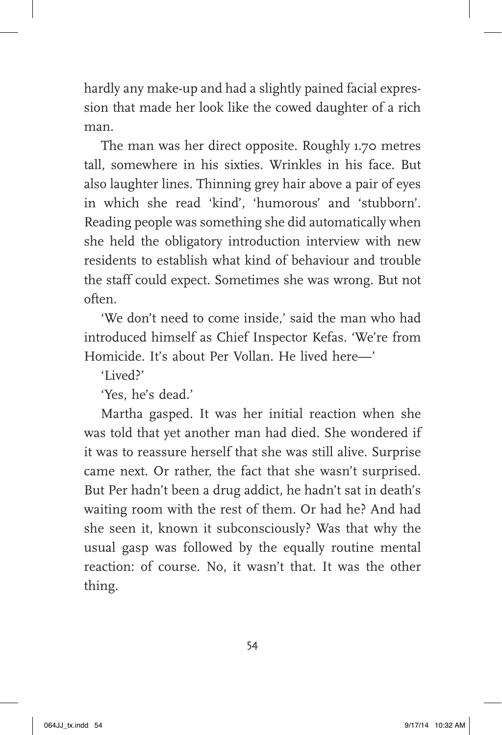hardly any make-up and had a slightly pained facial expression that made her look like the cowed daughter of a rich man.

The man was her direct opposite. Roughly 1.70 metres tall, somewhere in his sixties. Wrinkles in his face. But also laughter lines. Thinning grey hair above a pair of eyes in which she read 'kind', 'humorous' and 'stubborn'. Reading people was something she did automatically when she held the obligatory introduction interview with new residents to establish what kind of behaviour and trouble the staff could expect. Sometimes she was wrong. But not often.

'We don't need to come inside,' said the man who had introduced himself as Chief Inspector Kefas. 'We're from Homicide. It's about Per Vollan. He lived here—'

'Lived?'

'Yes, he's dead.'

Martha gasped. It was her initial reaction when she was told that yet another man had died. She wondered if it was to reassure herself that she was still alive. Surprise came next. Or rather, the fact that she wasn't surprised. But Per hadn't been a drug addict, he hadn't sat in death's waiting room with the rest of them. Or had he? And had she seen it, known it subconsciously? Was that why the usual gasp was followed by the equally routine mental reaction: of course. No, it wasn't that. It was the other thing.

54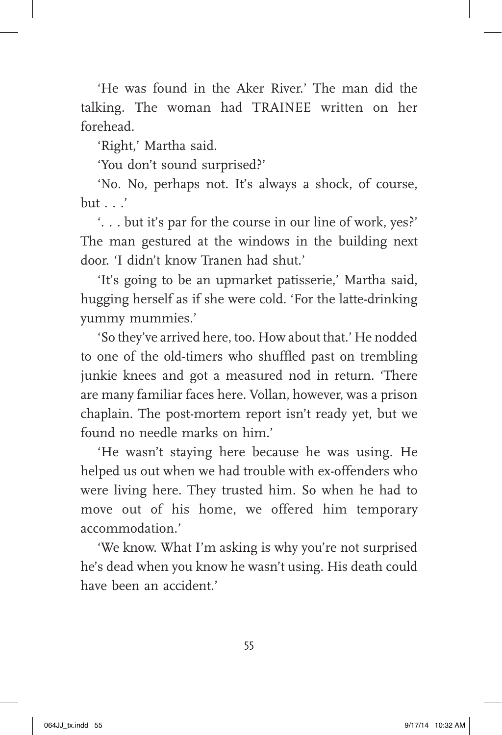'He was found in the Aker River.' The man did the talking. The woman had TRAINEE written on her forehead.

'Right,' Martha said.

'You don't sound surprised?'

'No. No, perhaps not. It's always a shock, of course, but . . .'

'. . . but it's par for the course in our line of work, yes?' The man gestured at the windows in the building next door. 'I didn't know Tranen had shut.'

'It's going to be an upmarket patisserie,' Martha said, hugging herself as if she were cold. 'For the latte-drinking yummy mummies.'

'So they've arrived here, too. How about that.' He nodded to one of the old-timers who shuffled past on trembling junkie knees and got a measured nod in return. 'There are many familiar faces here. Vollan, however, was a prison chaplain. The post-mortem report isn't ready yet, but we found no needle marks on him.'

'He wasn't staying here because he was using. He helped us out when we had trouble with ex-offenders who were living here. They trusted him. So when he had to move out of his home, we offered him temporary accommodation.'

'We know. What I'm asking is why you're not surprised he's dead when you know he wasn't using. His death could have been an accident.'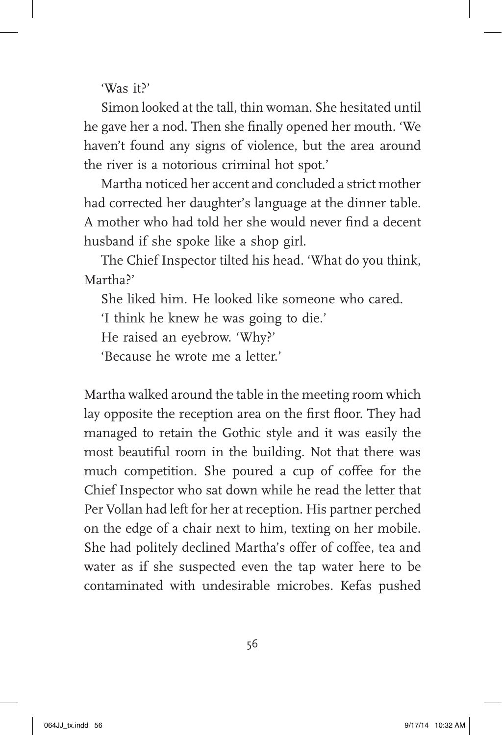'Was it?'

Simon looked at the tall, thin woman. She hesitated until he gave her a nod. Then she finally opened her mouth. 'We haven't found any signs of violence, but the area around the river is a notorious criminal hot spot.'

Martha noticed her accent and concluded a strict mother had corrected her daughter's language at the dinner table. A mother who had told her she would never find a decent husband if she spoke like a shop girl.

The Chief Inspector tilted his head. 'What do you think, Martha?'

She liked him. He looked like someone who cared.

'I think he knew he was going to die.'

He raised an eyebrow. 'Why?'

'Because he wrote me a letter.'

Martha walked around the table in the meeting room which lay opposite the reception area on the first floor. They had managed to retain the Gothic style and it was easily the most beautiful room in the building. Not that there was much competition. She poured a cup of coffee for the Chief Inspector who sat down while he read the letter that Per Vollan had left for her at reception. His partner perched on the edge of a chair next to him, texting on her mobile. She had politely declined Martha's offer of coffee, tea and water as if she suspected even the tap water here to be contaminated with undesirable microbes. Kefas pushed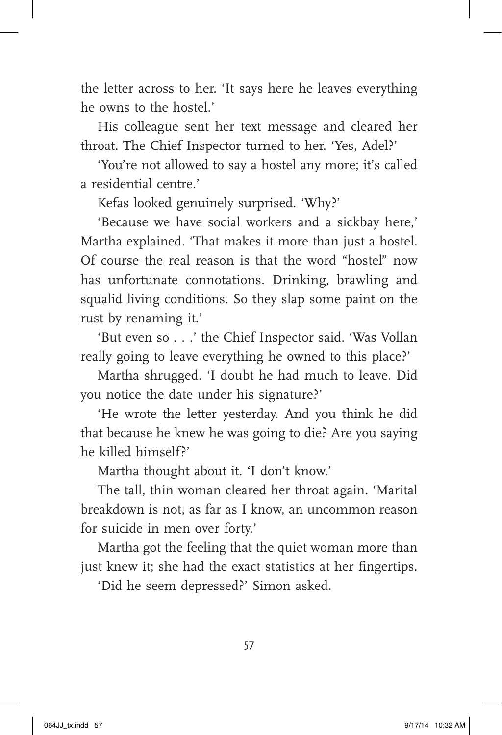the letter across to her. 'It says here he leaves everything he owns to the hostel.'

His colleague sent her text message and cleared her throat. The Chief Inspector turned to her. 'Yes, Adel?'

'You're not allowed to say a hostel any more; it's called a residential centre.'

Kefas looked genuinely surprised. 'Why?'

'Because we have social workers and a sickbay here,' Martha explained. 'That makes it more than just a hostel. Of course the real reason is that the word "hostel" now has unfortunate connotations. Drinking, brawling and squalid living conditions. So they slap some paint on the rust by renaming it.'

'But even so . . .' the Chief Inspector said. 'Was Vollan really going to leave everything he owned to this place?'

Martha shrugged. 'I doubt he had much to leave. Did you notice the date under his signature?'

'He wrote the letter yesterday. And you think he did that because he knew he was going to die? Are you saying he killed himself?'

Martha thought about it. 'I don't know.'

The tall, thin woman cleared her throat again. 'Marital breakdown is not, as far as I know, an uncommon reason for suicide in men over forty.'

Martha got the feeling that the quiet woman more than just knew it; she had the exact statistics at her fingertips.

'Did he seem depressed?' Simon asked.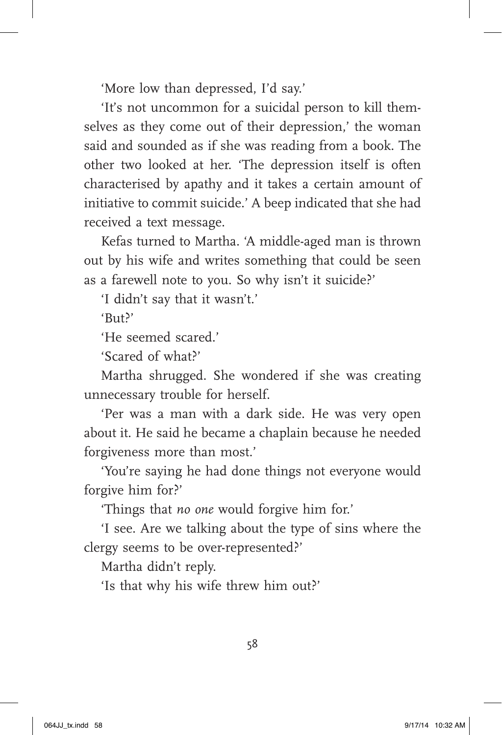'More low than depressed, I'd say.'

'It's not uncommon for a suicidal person to kill themselves as they come out of their depression,' the woman said and sounded as if she was reading from a book. The other two looked at her. 'The depression itself is often characterised by apathy and it takes a certain amount of initiative to commit suicide.' A beep indicated that she had received a text message.

Kefas turned to Martha. 'A middle-aged man is thrown out by his wife and writes something that could be seen as a farewell note to you. So why isn't it suicide?'

'I didn't say that it wasn't.'

 $(B_{11}+2)$ 

'He seemed scared.'

'Scared of what?'

Martha shrugged. She wondered if she was creating unnecessary trouble for herself.

'Per was a man with a dark side. He was very open about it. He said he became a chaplain because he needed forgiveness more than most.'

'You're saying he had done things not everyone would forgive him for?'

'Things that *no one* would forgive him for.'

'I see. Are we talking about the type of sins where the clergy seems to be over-represented?'

Martha didn't reply.

'Is that why his wife threw him out?'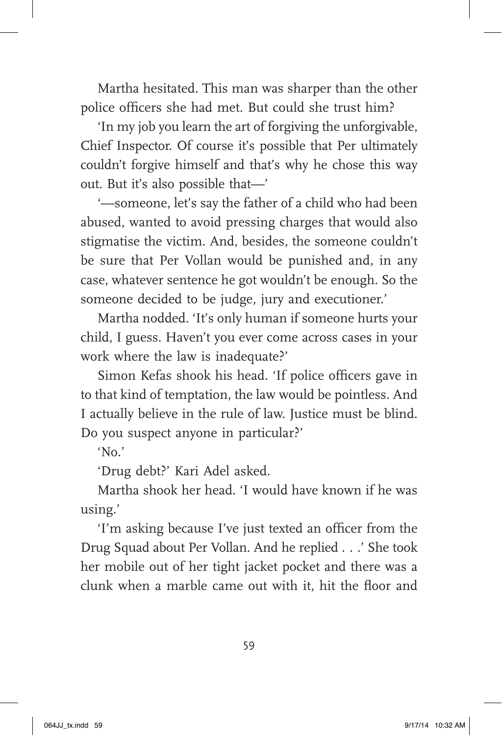Martha hesitated. This man was sharper than the other police officers she had met. But could she trust him?

'In my job you learn the art of forgiving the unforgivable, Chief Inspector. Of course it's possible that Per ultimately couldn't forgive himself and that's why he chose this way out. But it's also possible that—'

'—someone, let's say the father of a child who had been abused, wanted to avoid pressing charges that would also stigmatise the victim. And, besides, the someone couldn't be sure that Per Vollan would be punished and, in any case, whatever sentence he got wouldn't be enough. So the someone decided to be judge, jury and executioner.'

Martha nodded. 'It's only human if someone hurts your child, I guess. Haven't you ever come across cases in your work where the law is inadequate?'

Simon Kefas shook his head. 'If police officers gave in to that kind of temptation, the law would be pointless. And I actually believe in the rule of law. Justice must be blind. Do you suspect anyone in particular?'

'No.'

'Drug debt?' Kari Adel asked.

Martha shook her head. 'I would have known if he was using.'

'I'm asking because I've just texted an officer from the Drug Squad about Per Vollan. And he replied . . .' She took her mobile out of her tight jacket pocket and there was a clunk when a marble came out with it, hit the floor and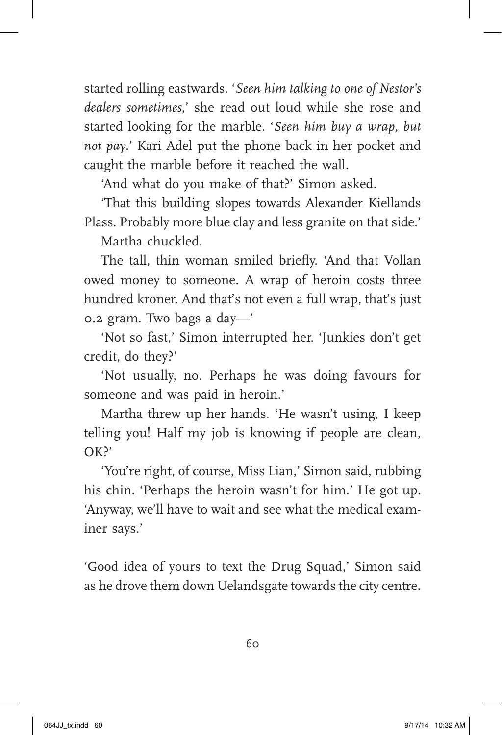started rolling eastwards. '*Seen him talking to one of Nestor's dealers sometimes*,' she read out loud while she rose and started looking for the marble. '*Seen him buy a wrap, but not pay*.' Kari Adel put the phone back in her pocket and caught the marble before it reached the wall.

'And what do you make of that?' Simon asked.

'That this building slopes towards Alexander Kiellands Plass. Probably more blue clay and less granite on that side.'

Martha chuckled.

The tall, thin woman smiled briefly. 'And that Vollan owed money to someone. A wrap of heroin costs three hundred kroner. And that's not even a full wrap, that's just 0.2 gram. Two bags a day—'

'Not so fast,' Simon interrupted her. 'Junkies don't get credit, do they?'

'Not usually, no. Perhaps he was doing favours for someone and was paid in heroin.'

Martha threw up her hands. 'He wasn't using, I keep telling you! Half my job is knowing if people are clean, OK?'

'You're right, of course, Miss Lian,' Simon said, rubbing his chin. 'Perhaps the heroin wasn't for him.' He got up. 'Anyway, we'll have to wait and see what the medical examiner says.'

'Good idea of yours to text the Drug Squad,' Simon said as he drove them down Uelandsgate towards the city centre.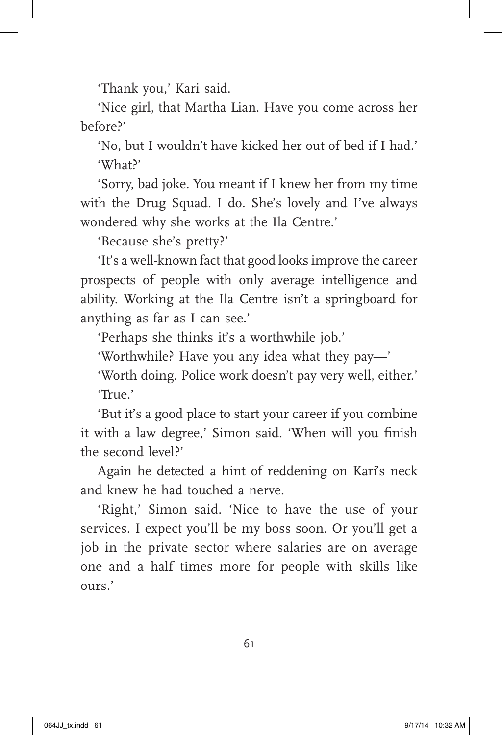'Thank you,' Kari said.

'Nice girl, that Martha Lian. Have you come across her before?'

'No, but I wouldn't have kicked her out of bed if I had.' 'What?'

'Sorry, bad joke. You meant if I knew her from my time with the Drug Squad. I do. She's lovely and I've always wondered why she works at the Ila Centre.'

'Because she's pretty?'

'It's a well-known fact that good looks improve the career prospects of people with only average intelligence and ability. Working at the Ila Centre isn't a springboard for anything as far as I can see.'

'Perhaps she thinks it's a worthwhile job.'

'Worthwhile? Have you any idea what they pay—'

'Worth doing. Police work doesn't pay very well, either.' 'True.'

'But it's a good place to start your career if you combine it with a law degree,' Simon said. 'When will you finish the second level?'

Again he detected a hint of reddening on Kari's neck and knew he had touched a nerve.

'Right,' Simon said. 'Nice to have the use of your services. I expect you'll be my boss soon. Or you'll get a job in the private sector where salaries are on average one and a half times more for people with skills like ours.'

61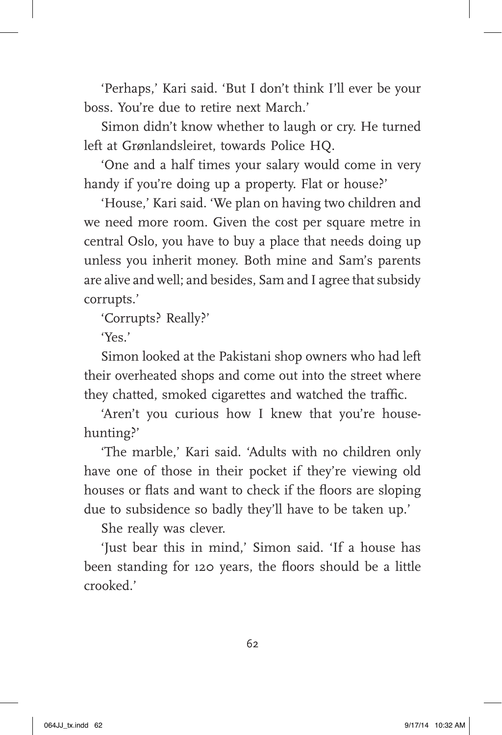'Perhaps,' Kari said. 'But I don't think I'll ever be your boss. You're due to retire next March.'

Simon didn't know whether to laugh or cry. He turned left at Grønlandsleiret, towards Police HQ.

'One and a half times your salary would come in very handy if you're doing up a property. Flat or house?'

'House,' Kari said. 'We plan on having two children and we need more room. Given the cost per square metre in central Oslo, you have to buy a place that needs doing up unless you inherit money. Both mine and Sam's parents are alive and well; and besides, Sam and I agree that subsidy corrupts.'

'Corrupts? Really?'

'Yes.'

Simon looked at the Pakistani shop owners who had left their overheated shops and come out into the street where they chatted, smoked cigarettes and watched the traffic.

'Aren't you curious how I knew that you're househunting?'

'The marble,' Kari said. 'Adults with no children only have one of those in their pocket if they're viewing old houses or flats and want to check if the floors are sloping due to subsidence so badly they'll have to be taken up.'

She really was clever.

'Just bear this in mind,' Simon said. 'If a house has been standing for 120 years, the floors should be a little crooked.'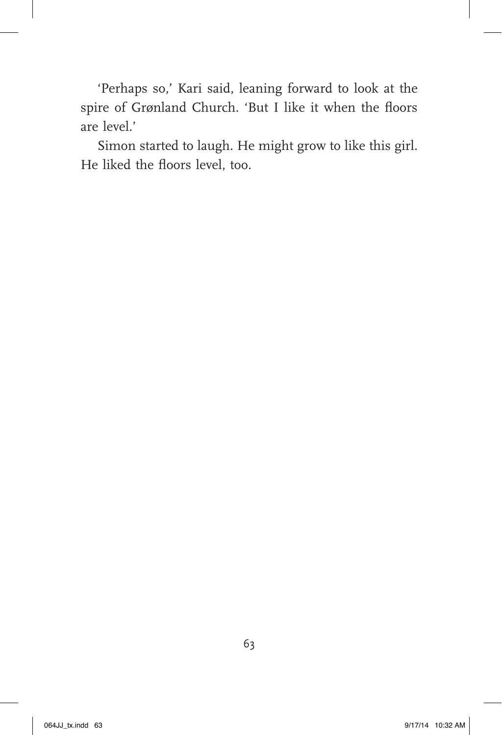'Perhaps so,' Kari said, leaning forward to look at the spire of Grønland Church. 'But I like it when the floors are level.'

Simon started to laugh. He might grow to like this girl. He liked the floors level, too.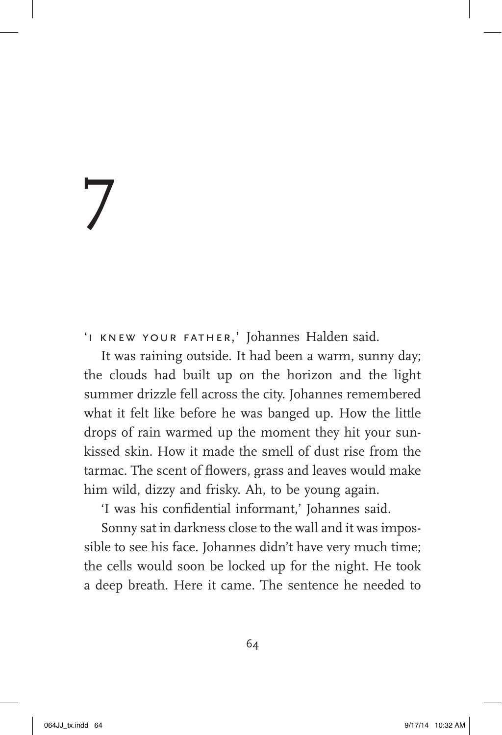# 7

'i knew your father,' Johannes Halden said.

It was raining outside. It had been a warm, sunny day; the clouds had built up on the horizon and the light summer drizzle fell across the city. Johannes remembered what it felt like before he was banged up. How the little drops of rain warmed up the moment they hit your sunkissed skin. How it made the smell of dust rise from the tarmac. The scent of flowers, grass and leaves would make him wild, dizzy and frisky. Ah, to be young again.

'I was his confidential informant,' Johannes said.

Sonny sat in darkness close to the wall and it was impossible to see his face. Johannes didn't have very much time; the cells would soon be locked up for the night. He took a deep breath. Here it came. The sentence he needed to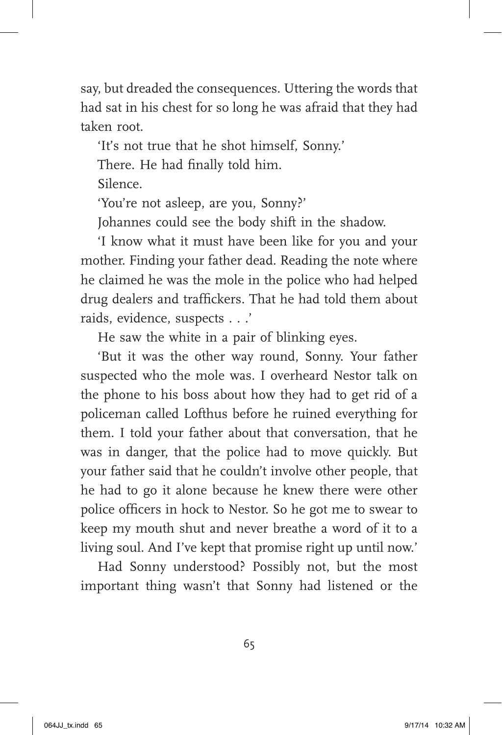say, but dreaded the consequences. Uttering the words that had sat in his chest for so long he was afraid that they had taken root.

'It's not true that he shot himself, Sonny.'

There. He had finally told him.

Silence.

'You're not asleep, are you, Sonny?'

Johannes could see the body shift in the shadow.

'I know what it must have been like for you and your mother. Finding your father dead. Reading the note where he claimed he was the mole in the police who had helped drug dealers and traffickers. That he had told them about raids, evidence, suspects . . .'

He saw the white in a pair of blinking eyes.

'But it was the other way round, Sonny. Your father suspected who the mole was. I overheard Nestor talk on the phone to his boss about how they had to get rid of a policeman called Lofthus before he ruined everything for them. I told your father about that conversation, that he was in danger, that the police had to move quickly. But your father said that he couldn't involve other people, that he had to go it alone because he knew there were other police officers in hock to Nestor. So he got me to swear to keep my mouth shut and never breathe a word of it to a living soul. And I've kept that promise right up until now.'

Had Sonny understood? Possibly not, but the most important thing wasn't that Sonny had listened or the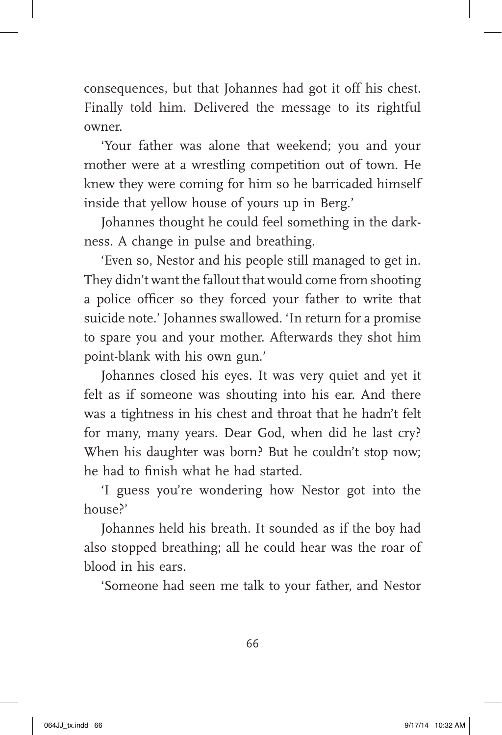consequences, but that Johannes had got it off his chest. Finally told him. Delivered the message to its rightful owner.

'Your father was alone that weekend; you and your mother were at a wrestling competition out of town. He knew they were coming for him so he barricaded himself inside that yellow house of yours up in Berg.'

Johannes thought he could feel something in the darkness. A change in pulse and breathing.

'Even so, Nestor and his people still managed to get in. They didn't want the fallout that would come from shooting a police officer so they forced your father to write that suicide note.' Johannes swallowed. 'In return for a promise to spare you and your mother. Afterwards they shot him point-blank with his own gun.'

Johannes closed his eyes. It was very quiet and yet it felt as if someone was shouting into his ear. And there was a tightness in his chest and throat that he hadn't felt for many, many years. Dear God, when did he last cry? When his daughter was born? But he couldn't stop now; he had to finish what he had started.

'I guess you're wondering how Nestor got into the house?'

Johannes held his breath. It sounded as if the boy had also stopped breathing; all he could hear was the roar of blood in his ears.

'Someone had seen me talk to your father, and Nestor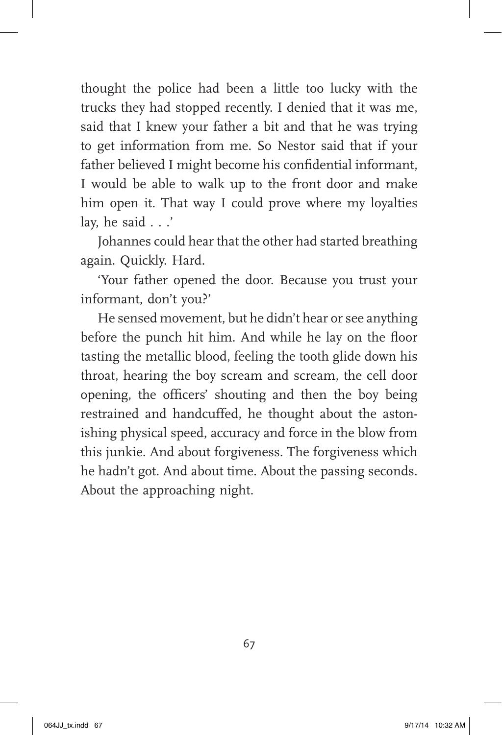thought the police had been a little too lucky with the trucks they had stopped recently. I denied that it was me, said that I knew your father a bit and that he was trying to get information from me. So Nestor said that if your father believed I might become his confidential informant, I would be able to walk up to the front door and make him open it. That way I could prove where my loyalties lay, he said . . .'

Johannes could hear that the other had started breathing again. Quickly. Hard.

'Your father opened the door. Because you trust your informant, don't you?'

He sensed movement, but he didn't hear or see anything before the punch hit him. And while he lay on the floor tasting the metallic blood, feeling the tooth glide down his throat, hearing the boy scream and scream, the cell door opening, the officers' shouting and then the boy being restrained and handcuffed, he thought about the astonishing physical speed, accuracy and force in the blow from this junkie. And about forgiveness. The forgiveness which he hadn't got. And about time. About the passing seconds. About the approaching night.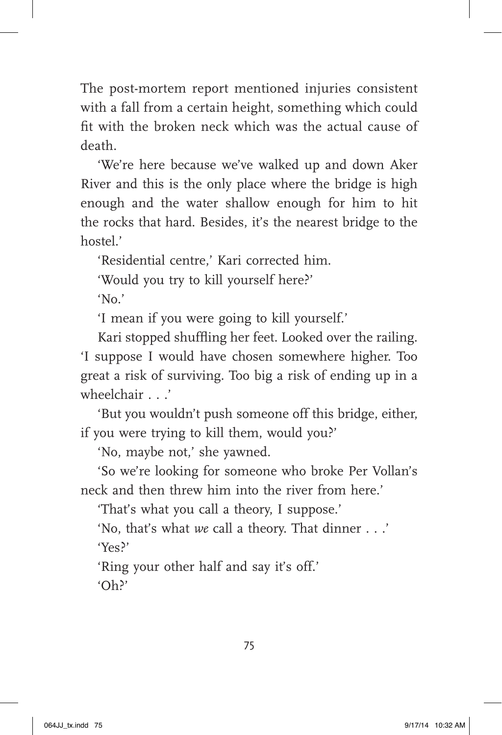The post-mortem report mentioned injuries consistent with a fall from a certain height, something which could fit with the broken neck which was the actual cause of death.

'We're here because we've walked up and down Aker River and this is the only place where the bridge is high enough and the water shallow enough for him to hit the rocks that hard. Besides, it's the nearest bridge to the hostel<sup>'</sup>

'Residential centre,' Kari corrected him.

'Would you try to kill yourself here?'

 $'$ No.'

'I mean if you were going to kill yourself.'

Kari stopped shuffling her feet. Looked over the railing. 'I suppose I would have chosen somewhere higher. Too great a risk of surviving. Too big a risk of ending up in a wheelchair . . .'

'But you wouldn't push someone off this bridge, either, if you were trying to kill them, would you?'

'No, maybe not,' she yawned.

'So we're looking for someone who broke Per Vollan's neck and then threw him into the river from here.'

'That's what you call a theory, I suppose.'

'No, that's what *we* call a theory. That dinner . . .' 'Yes?'

'Ring your other half and say it's off.'

'Oh?'